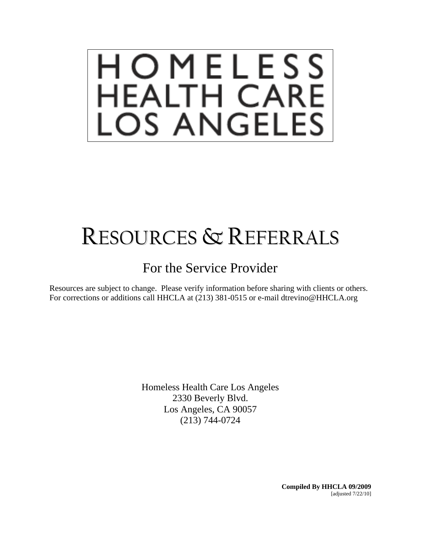# HOMELESS<br>HEALTH CARE<br>LOS ANGELES

# RESOURCES & REFERRALS

## For the Service Provider

Resources are subject to change. Please verify information before sharing with clients or others. For corrections or additions call HHCLA at (213) 381-0515 or e-mail dtrevino@HHCLA.org

> Homeless Health Care Los Angeles 2330 Beverly Blvd. Los Angeles, CA 90057 (213) 744-0724

> > **Compiled By HHCLA 09/2009**  [adjusted 7/22/10]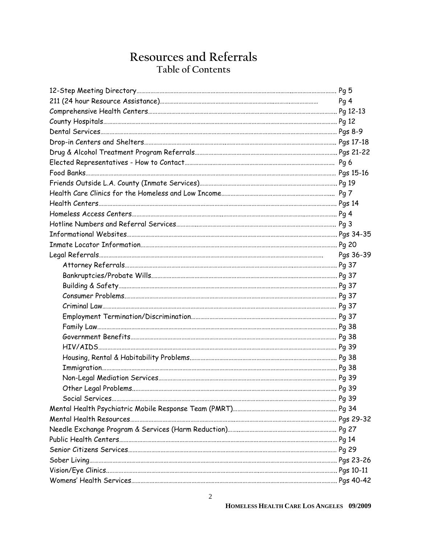## **Resources and Referrals Table of Contents**

| Pg <sub>4</sub> |
|-----------------|
|                 |
|                 |
|                 |
|                 |
|                 |
|                 |
|                 |
|                 |
|                 |
|                 |
|                 |
|                 |
|                 |
|                 |
| Pgs 36-39       |
|                 |
|                 |
|                 |
|                 |
|                 |
|                 |
|                 |
|                 |
|                 |
|                 |
|                 |
|                 |
|                 |
|                 |
|                 |
|                 |
|                 |
|                 |
|                 |
|                 |
|                 |
|                 |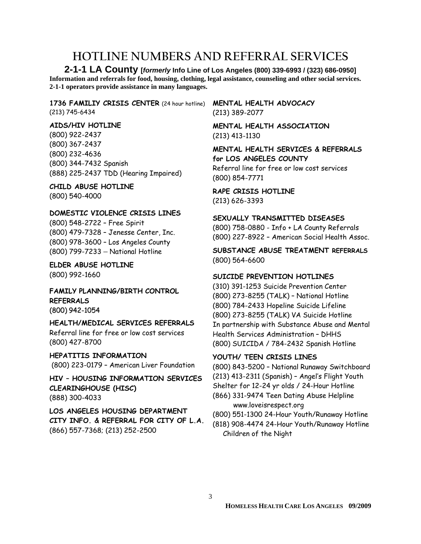## **HOTLINE NUMBERS AND REFERRAL SERVICES**

**2-1-1 LA County [***formerly* **Info Line of Los Angeles (800) 339-6993 / (323) 686-0950] Information and referrals for food, housing, clothing, legal assistance, counseling and other social services. 2-1-1 operators provide assistance in many languages.**

**1736 FAMILIY CRISIS CENTER** (24 hour hotline) (213) 745-6434

#### **AIDS/HIV HOTLINE**

(800) 922-2437 (800) 367-2437 (800) 232-4636 (800) 344-7432 Spanish (888) 225-2437 TDD (Hearing Impaired)

**CHILD ABUSE HOTLINE**  (800) 540-4000

#### **DOMESTIC VIOLENCE CRISIS LINES**

(800) 548-2722 – Free Spirit (800) 479-7328 – Jenesse Center, Inc. (800) 978-3600 – Los Angeles County (800) 799-7233 – National Hotline

**ELDER ABUSE HOTLINE**  (800) 992-1660

**FAMILY PLANNING/BIRTH CONTROL REFERRALS**  (800) 942-1054

**HEALTH/MEDICAL SERVICES REFERRALS**  Referral line for free or low cost services (800) 427-8700

**HEPATITIS INFORMATION**  (800) 223-0179 – American Liver Foundation

**HIV – HOUSING INFORMATION SERVICES CLEARINGHOUSE (HISC)** (888) 300-4033

**LOS ANGELES HOUSING DEPARTMENT CITY INFO. & REFERRAL FOR CITY OF L.A.** (866) 557-7368; (213) 252-2500

#### **MENTAL HEALTH ADVOCACY**  (213) 389-2077

**MENTAL HEALTH ASSOCIATION**  (213) 413-1130

**MENTAL HEALTH SERVICES & REFERRALS for LOS ANGELES COUNTY** 

Referral line for free or low cost services (800) 854-7771

**RAPE CRISIS HOTLINE**  (213) 626-3393

#### **SEXUALLY TRANSMITTED DISEASES**

(800) 758-0880 - Info + LA County Referrals (800) 227-8922 – American Social Health Assoc.

**SUBSTANCE ABUSE TREATMENT REFERRALS** (800) 564-6600

#### **SUICIDE PREVENTION HOTLINES**

(310) 391-1253 Suicide Prevention Center (800) 273-8255 (TALK) – National Hotline (800) 784-2433 Hopeline Suicide Lifeline (800) 273-8255 (TALK) VA Suicide Hotline In partnership with Substance Abuse and Mental Health Services Administration – DHHS (800) SUICIDA / 784-2432 Spanish Hotline

#### **YOUTH/ TEEN CRISIS LINES**

(800) 843-5200 – National Runaway Switchboard (213) 413-2311 (Spanish) – Angel's Flight Youth Shelter for 12-24 yr olds / 24-Hour Hotline (866) 331-9474 Teen Dating Abuse Helpline www.loveisrespect.org

(800) 551-1300 24-Hour Youth/Runaway Hotline

(818) 908-4474 24-Hour Youth/Runaway Hotline Children of the Night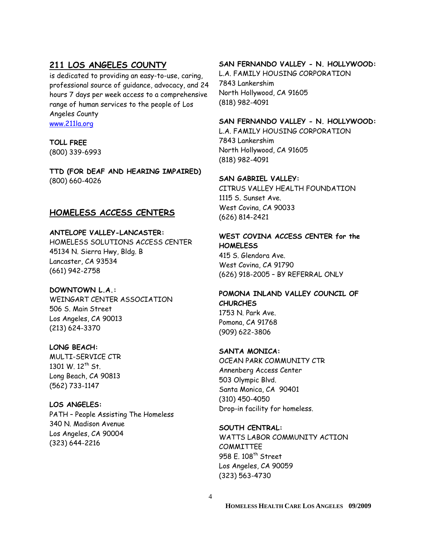#### **211 LOS ANGELES COUNTY**

is dedicated to providing an easy-to-use, caring, professional source of guidance, advocacy, and 24 hours 7 days per week access to a comprehensive range of human services to the people of Los Angeles County www.211la.org

## **TOLL FREE**

(800) 339-6993

**TTD (FOR DEAF AND HEARING IMPAIRED)**  (800) 660-4026

#### **HOMELESS ACCESS CENTERS**

#### **ANTELOPE VALLEY-LANCASTER:**

HOMELESS SOLUTIONS ACCESS CENTER 45134 N. Sierra Hwy, Bldg. B Lancaster, CA 93534 (661) 942-2758

#### **DOWNTOWN L.A.:**

WEINGART CENTER ASSOCIATION 506 S. Main Street Los Angeles, CA 90013 (213) 624-3370

#### **LONG BEACH:**

MULTI-SERVICE CTR 1301 W. 12<sup>th</sup> St. Long Beach, CA 90813 (562) 733-1147

#### **LOS ANGELES:**

PATH – People Assisting The Homeless 340 N. Madison Avenue Los Angeles, CA 90004 (323) 644-2216

#### **SAN FERNANDO VALLEY - N. HOLLYWOOD:**

L.A. FAMILY HOUSING CORPORATION 7843 Lankershim North Hollywood, CA 91605 (818) 982-4091

#### **SAN FERNANDO VALLEY - N. HOLLYWOOD:**

L.A. FAMILY HOUSING CORPORATION 7843 Lankershim North Hollywood, CA 91605 (818) 982-4091

#### **SAN GABRIEL VALLEY:**

CITRUS VALLEY HEALTH FOUNDATION 1115 S. Sunset Ave. West Covina, CA 90033 (626) 814-2421

#### **WEST COVINA ACCESS CENTER for the HOMELESS**

415 S. Glendora Ave. West Covina, CA 91790 (626) 918-2005 – BY REFERRAL ONLY

#### **POMONA INLAND VALLEY COUNCIL OF CHURCHES**  1753 N. Park Ave. Pomona, CA 91768 (909) 622-3806

#### **SANTA MONICA:**

OCEAN PARK COMMUNITY CTR Annenberg Access Center 503 Olympic Blvd. Santa Monica, CA 90401 (310) 450-4050 Drop-in facility for homeless.

#### **SOUTH CENTRAL:**

WATTS LABOR COMMUNITY ACTION **COMMITTEE** 958 E. 108<sup>th</sup> Street Los Angeles, CA 90059 (323) 563-4730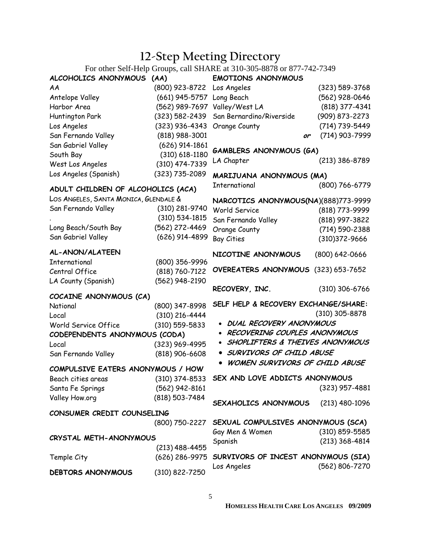## **12-Step Meeting Directory**

For other Self-Help Groups, call SHARE at 310-305-8878 or 877-742-7349

| ALCOHOLICS ANONYMOUS (AA)             |                    | For other Sen-Field Croups, can Strait at 310-303-6676 or 677-742-7342<br><b>EMOTIONS ANONYMOUS</b> |                    |
|---------------------------------------|--------------------|-----------------------------------------------------------------------------------------------------|--------------------|
| AA                                    |                    |                                                                                                     |                    |
|                                       | (800) 923-8722     | Los Angeles                                                                                         | $(323) 589 - 3768$ |
| Antelope Valley                       | $(661)$ 945-5757   | Long Beach                                                                                          | (562) 928-0646     |
| Harbor Area                           | (562) 989-7697     | Valley/West LA                                                                                      | (818) 377-4341     |
| Huntington Park                       | $(323) 582 - 2439$ | San Bernardino/Riverside                                                                            | (909) 873-2273     |
| Los Angeles                           | $(323)$ 936-4343   | Orange County                                                                                       | (714) 739-5449     |
| San Fernando Valley                   | $(818)$ 988-3001   | or                                                                                                  | (714) 903-7999     |
| San Gabriel Valley                    | $(626)$ 914-1861   | <b>GAMBLERS ANONYMOUS (GA)</b>                                                                      |                    |
| South Bay                             | $(310)$ 618-1180   | LA Chapter                                                                                          | $(213)$ 386-8789   |
| West Los Angeles                      | (310) 474-7339     |                                                                                                     |                    |
| Los Angeles (Spanish)                 | (323) 735-2089     | MARIJUANA ANONYMOUS (MA)                                                                            |                    |
| ADULT CHILDREN OF ALCOHOLICS (ACA)    |                    | International                                                                                       | $(800)$ 766-6779   |
| LOS ANGELES, SANTA MONICA, GLENDALE & |                    | NARCOTICS ANONYMOUS(NA)(888)773-9999                                                                |                    |
| San Fernando Valley                   | (310) 281-9740     | World Service                                                                                       | (818) 773-9999     |
|                                       | $(310) 534 - 1815$ | San Fernando Valley                                                                                 | (818) 997-3822     |
| Long Beach/South Bay                  | (562) 272-4469     | Orange County                                                                                       | (714) 590-2388     |
| San Gabriel Valley                    | (626) 914-4899     | <b>Bay Cities</b>                                                                                   | (310) 372-9666     |
|                                       |                    |                                                                                                     |                    |
| AL-ANON/ALATEEN                       |                    | NICOTINE ANONYMOUS                                                                                  | $(800) 642 - 0666$ |
| International                         | (800) 356-9996     | OVEREATERS ANONYMOUS (323) 653-7652                                                                 |                    |
| Central Office                        | (818) 760-7122     |                                                                                                     |                    |
| LA County (Spanish)                   | (562) 948-2190     |                                                                                                     |                    |
| COCAINE ANONYMOUS (CA)                |                    | RECOVERY, INC.                                                                                      | $(310)$ 306-6766   |
| National                              | (800) 347-8998     | SELF HELP & RECOVERY EXCHANGE/SHARE:                                                                |                    |
| Local                                 | $(310)$ 216-4444   |                                                                                                     | $(310)$ 305-8878   |
| World Service Office                  | $(310)$ 559-5833   | <b>DUAL RECOVERY ANONYMOUS</b>                                                                      |                    |
| CODEPENDENTS ANONYMOUS (CODA)         |                    | RECOVERING COUPLES ANONYMOUS                                                                        |                    |
| Local                                 | (323) 969-4995     | SHOPLIFTERS & THEIVES ANONYMOUS                                                                     |                    |
| San Fernando Valley                   | $(818)$ 906-6608   | SURVIVORS OF CHILD ABUSE                                                                            |                    |
|                                       |                    | WOMEN SURVIVORS OF CHILD ABUSE                                                                      |                    |
| COMPULSIVE EATERS ANONYMOUS / HOW     |                    |                                                                                                     |                    |
| Beach cities areas                    | $(310)$ 374-8533   | SEX AND LOVE ADDICTS ANONYMOUS                                                                      |                    |
| Santa Fe Springs                      | (562) 942-8161     |                                                                                                     | $(323)$ 957-4881   |
| Valley How.org                        | (818) 503-7484     | SEXAHOLICS ANONYMOUS                                                                                |                    |
| CONSUMER CREDIT COUNSELING            |                    |                                                                                                     | $(213)$ 480-1096   |
|                                       |                    |                                                                                                     |                    |
|                                       | (800) 750-2227     | SEXUAL COMPULSIVES ANONYMOUS (SCA)                                                                  |                    |
| CRYSTAL METH-ANONYMOUS                |                    | Gay Men & Women                                                                                     | (310) 859-5585     |
|                                       | (213) 488-4455     | Spanish                                                                                             | $(213)$ 368-4814   |
| Temple City                           | (626) 286-9975     | SURVIVORS OF INCEST ANONYMOUS (SIA)                                                                 |                    |
| <b>DEBTORS ANONYMOUS</b>              | (310) 822-7250     | Los Angeles                                                                                         | (562) 806-7270     |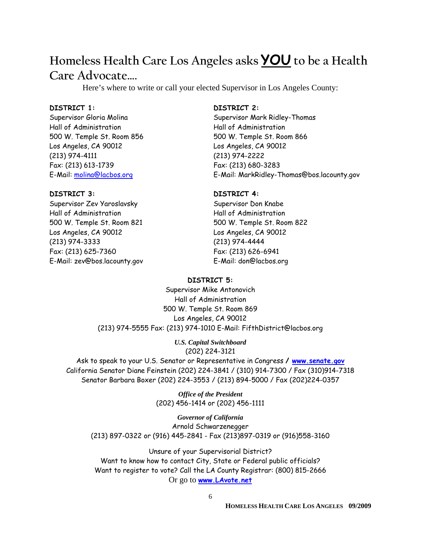## **Homeless Health Care Los Angeles asks YOU to be a Health**

## **Care Advocate….**

Here's where to write or call your elected Supervisor in Los Angeles County:

#### **DISTRICT 1:**

Supervisor Gloria Molina Hall of Administration 500 W. Temple St. Room 856 Los Angeles, CA 90012 (213) 974-4111 Fax: (213) 613-1739 E-Mail: molina@lacbos.org

#### **DISTRICT 3:**

Supervisor Zev Yaroslavsky Hall of Administration 500 W. Temple St. Room 821 Los Angeles, CA 90012 (213) 974-3333 Fax: (213) 625-7360 E-Mail: zev@bos.lacounty.gov

#### **DISTRICT 2:**

Supervisor Mark Ridley-Thomas Hall of Administration 500 W. Temple St. Room 866 Los Angeles, CA 90012 (213) 974-2222 Fax: (213) 680-3283 E-Mail: MarkRidley-Thomas@bos.lacounty.gov

#### **DISTRICT 4:**

Supervisor Don Knabe Hall of Administration 500 W. Temple St. Room 822 Los Angeles, CA 90012 (213) 974-4444 Fax: (213) 626-6941 E-Mail: don@lacbos.org

#### **DISTRICT 5:**

Supervisor Mike Antonovich Hall of Administration 500 W. Temple St. Room 869 Los Angeles, CA 90012 (213) 974-5555 Fax: (213) 974-1010 E-Mail: FifthDistrict@lacbos.org

> *U.S. Capital Switchboard*  (202) 224-3121

Ask to speak to your U.S. Senator or Representative in Congress **/ www.senate.gov** California Senator Diane Feinstein (202) 224-3841 / (310) 914-7300 / Fax (310)914-7318 Senator Barbara Boxer (202) 224-3553 / (213) 894-5000 / Fax (202)224-0357

> *Office of the President*  (202) 456-1414 or (202) 456-1111

*Governor of California*  Arnold Schwarzenegger (213) 897-0322 or (916) 445-2841 - Fax (213)897-0319 or (916)558-3160

Unsure of your Supervisorial District? Want to know how to contact City, State or Federal public officials? Want to register to vote? Call the LA County Registrar: (800) 815-2666 Or go to **www.LAvote.net**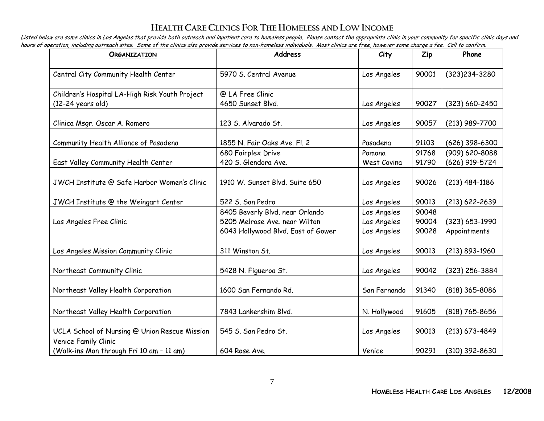#### **HEALTH CARE CLINICS FOR THE HOMELESS AND LOWINCOME**

Listed below are some clinics in Los Angeles that provide both outreach and inpatient care to homeless people. Please contact the appropriate clinic in your community for specific clinic days and hours of operation, including outreach sites. Some of the clinics also provide services to non-homeless individuals. Most clinics are free, however some charge a fee. Call to confirm.

| <b>ORGANIZATION</b>                                              | Address                                                          | City                       | $\mathbf{Zip}$ | Phone                            |
|------------------------------------------------------------------|------------------------------------------------------------------|----------------------------|----------------|----------------------------------|
| Central City Community Health Center                             | 5970 S. Central Avenue                                           | Los Angeles                | 90001          | (323)234-3280                    |
| Children's Hospital LA-High Risk Youth Project                   | @ LA Free Clinic                                                 |                            |                |                                  |
| $(12-24 \text{ years old})$                                      | 4650 Sunset Blvd.                                                | Los Angeles                | 90027          | $(323) 660 - 2450$               |
| Clinica Msgr. Oscar A. Romero                                    | 123 S. Alvarado St.                                              | Los Angeles                | 90057          | (213) 989-7700                   |
| Community Health Alliance of Pasadena                            | 1855 N. Fair Oaks Ave. Fl. 2                                     | Pasadena                   | 91103          | $(626)$ 398-6300                 |
| East Valley Community Health Center                              | 680 Fairplex Drive<br>420 S. Glendora Ave.                       | Pomona<br>West Covina      | 91768<br>91790 | (909) 620-8088<br>(626) 919-5724 |
| JWCH Institute @ Safe Harbor Women's Clinic                      | 1910 W. Sunset Blvd. Suite 650                                   | Los Angeles                | 90026          | (213) 484-1186                   |
| JWCH Institute @ the Weingart Center                             | 522 S. San Pedro                                                 | Los Angeles                | 90013          | $(213) 622 - 2639$               |
| Los Angeles Free Clinic                                          | 8405 Beverly Blvd. near Orlando<br>5205 Melrose Ave. near Wilton | Los Angeles<br>Los Angeles | 90048<br>90004 | $(323) 653 - 1990$               |
|                                                                  | 6043 Hollywood Blvd. East of Gower                               | Los Angeles                | 90028          | Appointments                     |
| Los Angeles Mission Community Clinic                             | 311 Winston St.                                                  | Los Angeles                | 90013          | $(213) 893 - 1960$               |
| Northeast Community Clinic                                       | 5428 N. Figueroa St.                                             | Los Angeles                | 90042          | (323) 256-3884                   |
| Northeast Valley Health Corporation                              | 1600 San Fernando Rd.                                            | San Fernando               | 91340          | (818) 365-8086                   |
| Northeast Valley Health Corporation                              | 7843 Lankershim Blvd.                                            | N. Hollywood               | 91605          | (818) 765-8656                   |
| UCLA School of Nursing @ Union Rescue Mission                    | 545 S. San Pedro St.                                             | Los Angeles                | 90013          | $(213) 673 - 4849$               |
| Venice Family Clinic<br>(Walk-ins Mon through Fri 10 am - 11 am) | 604 Rose Ave.                                                    | Venice                     | 90291          | (310) 392-8630                   |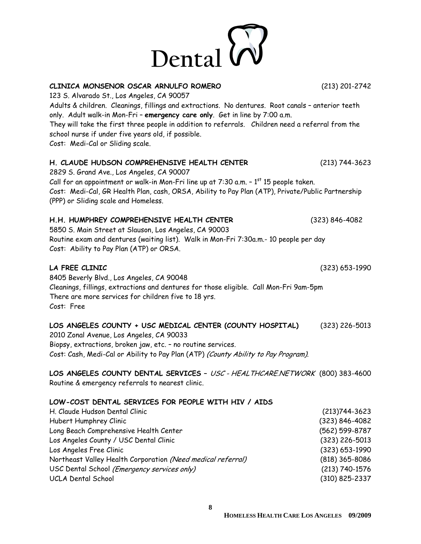

**CLINICA MONSENOR OSCAR ARNULFO ROMERO** (213) 201-2742 123 S. Alvarado St., Los Angeles, CA 90057 Adults & children. Cleanings, fillings and extractions. No dentures. Root canals – anterior teeth only. Adult walk-in Mon-Fri – **emergency care only**. Get in line by 7:00 a.m. They will take the first three people in addition to referrals. Children need a referral from the school nurse if under five years old, if possible. Cost: Medi-Cal or Sliding scale.

#### **H. CLAUDE HUDSON COMPREHENSIVE HEALTH CENTER** (213) 744-3623

2829 S. Grand Ave., Los Angeles, CA 90007 Call for an appointment or walk-in Mon-Fri line up at  $7:30$  a.m.  $-1^{st}$  15 people taken. Cost: Medi-Cal, GR Health Plan, cash, ORSA, Ability to Pay Plan (ATP), Private/Public Partnership (PPP) or Sliding scale and Homeless.

#### **H.H. HUMPHREY COMPREHENSIVE HEALTH CENTER** (323) 846-4082

5850 S. Main Street at Slauson, Los Angeles, CA 90003 Routine exam and dentures (waiting list). Walk in Mon-Fri 7:30a.m.- 10 people per day Cost: Ability to Pay Plan (ATP) or ORSA.

#### **LA FREE CLINIC** (323) 653-1990

8405 Beverly Blvd., Los Angeles, CA 90048 Cleanings, fillings, extractions and dentures for those eligible. Call Mon-Fri 9am-5pm There are more services for children five to 18 yrs. Cost: Free

#### **LOS ANGELES COUNTY + USC MEDICAL CENTER (COUNTY HOSPITAL)** (323) 226-5013

2010 Zonal Avenue, Los Angeles, CA 90033 Biopsy, extractions, broken jaw, etc. – no routine services. Cost: Cash, Medi-Cal or Ability to Pay Plan (ATP) (County Ability to Pay Program).

**LOS ANGELES COUNTY DENTAL SERVICES –** USC - HEALTHCARE.NETWORK (800) 383-4600 Routine & emergency referrals to nearest clinic.

#### **LOW-COST DENTAL SERVICES FOR PEOPLE WITH HIV / AIDS**

| Hubert Humphrey Clinic<br>Long Beach Comprehensive Health Center<br>Los Angeles County / USC Dental Clinic<br>Los Angeles Free Clinic<br>Northeast Valley Health Corporation (Need medical referral)<br>USC Dental School (Emergency services only)<br>UCLA Dental School | H. Claude Hudson Dental Clinic | $(213)744-3623$    |
|---------------------------------------------------------------------------------------------------------------------------------------------------------------------------------------------------------------------------------------------------------------------------|--------------------------------|--------------------|
|                                                                                                                                                                                                                                                                           |                                | (323) 846-4082     |
|                                                                                                                                                                                                                                                                           |                                | (562) 599-8787     |
|                                                                                                                                                                                                                                                                           |                                | $(323)$ 226-5013   |
|                                                                                                                                                                                                                                                                           |                                | $(323) 653 - 1990$ |
|                                                                                                                                                                                                                                                                           |                                | (818) 365-8086     |
|                                                                                                                                                                                                                                                                           |                                | $(213) 740 - 1576$ |
|                                                                                                                                                                                                                                                                           |                                | $(310)$ 825-2337   |

**8**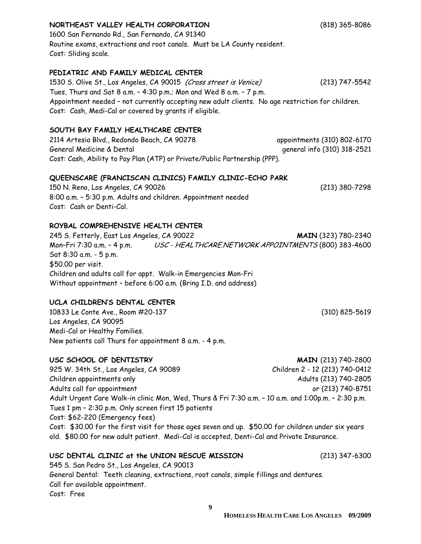#### **NORTHEAST VALLEY HEALTH CORPORATION** (818) 365-8086

1600 San Fernando Rd., San Fernando, CA 91340 Routine exams, extractions and root canals. Must be LA County resident. Cost: Sliding scale.

#### **PEDIATRIC AND FAMILY MEDICAL CENTER**

1530 S. Olive St., Los Angeles, CA 90015 *(Cross street is Venice)* (213) 747-5542 Tues, Thurs and Sat 8 a.m. – 4:30 p.m.; Mon and Wed 8 a.m. – 7 p.m. Appointment needed – not currently accepting new adult clients. No age restriction for children. Cost: Cash, Medi-Cal or covered by grants if eligible.

#### **SOUTH BAY FAMILY HEALTHCARE CENTER**

2114 Artesia Blvd., Redondo Beach, CA 90278 appointments (310) 802-6170 General Medicine & Dental general info (310) 318-2521 Cost: Cash, Ability to Pay Plan (ATP) or Private/Public Partnership (PPP).

#### **QUEENSCARE (FRANCISCAN CLINICS) FAMILY CLINIC-ECHO PARK**

150 N. Reno, Los Angeles, CA 90026 (213) 380-7298 8:00 a.m. – 5:30 p.m. Adults and children. Appointment needed Cost: Cash or Denti-Cal.

#### **ROYBAL COMPREHENSIVE HEALTH CENTER**

245 S. Fetterly, East Los Angeles, CA 90022 **MAIN** (323) 780-2340 Mon-Fri 7:30 a.m. - 4 p.m. USC - HEALTHCARE.NETWORK APPOINTMENTS (800) 383-4600 Sat 8:30 a.m. - 5 p.m. \$50.00 per visit. Children and adults call for appt. Walk-in Emergencies Mon-Fri Without appointment – before 6:00 a.m. (Bring I.D. and address)

#### **UCLA CHILDREN'S DENTAL CENTER**

10833 Le Conte Ave., Room #20-137 (310) 825-5619 Los Angeles, CA 90095 Medi-Cal or Healthy Families. New patients call Thurs for appointment 8 a.m. - 4 p.m.

#### **USC SCHOOL OF DENTISTRY MAIN** (213) 740-2800

925 W. 34th St., Los Angeles, CA 90089 Children 2 - 12 (213) 740-0412 Children appointments only Adults (213) 740-2805 Adults call for appointment or (213) 740-8751 Adult Urgent Care Walk-in clinic Mon, Wed, Thurs & Fri 7:30 a.m. – 10 a.m. and 1:00p.m. – 2:30 p.m. Tues 1 pm – 2:30 p.m. Only screen first 15 patients Cost: \$62-220 (Emergency fees) Cost: \$30.00 for the first visit for those ages seven and up. \$50.00 for children under six years old. \$80.00 for new adult patient. Medi-Cal is accepted, Denti-Cal and Private Insurance.

#### **USC DENTAL CLINIC at the UNION RESCUE MISSION** (213) 347-6300

545 S. San Pedro St., Los Angeles, CA 90013 General Dental: Teeth cleaning, extractions, root canals, simple fillings and dentures. Call for available appointment. Cost: Free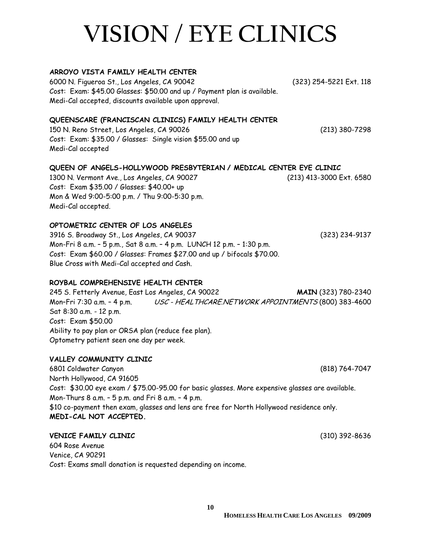# **VISION / EYE CLINICS**

#### **ARROYO VISTA FAMILY HEALTH CENTER**

6000 N. Figueroa St., Los Angeles, CA 90042 (323) 254-5221 Ext. 118 Cost: Exam: \$45.00 Glasses: \$50.00 and up / Payment plan is available. Medi-Cal accepted, discounts available upon approval.

#### **QUEENSCARE (FRANCISCAN CLINICS) FAMILY HEALTH CENTER**

150 N. Reno Street, Los Angeles, CA 90026 (213) 380-7298 Cost: Exam: \$35.00 / Glasses: Single vision \$55.00 and up Medi-Cal accepted

#### **QUEEN OF ANGELS-HOLLYWOOD PRESBYTERIAN / MEDICAL CENTER EYE CLINIC**

1300 N. Vermont Ave., Los Angeles, CA 90027 (213) 413-3000 Ext. 6580 Cost: Exam \$35.00 / Glasses: \$40.00+ up Mon & Wed 9:00-5:00 p.m. / Thu 9:00-5:30 p.m. Medi-Cal accepted.

#### **OPTOMETRIC CENTER OF LOS ANGELES**

3916 S. Broadway St., Los Angeles, CA 90037 (323) 234-9137 Mon-Fri 8 a.m. – 5 p.m., Sat 8 a.m. – 4 p.m. LUNCH 12 p.m. – 1:30 p.m. Cost: Exam \$60.00 / Glasses: Frames \$27.00 and up / bifocals \$70.00. Blue Cross with Medi-Cal accepted and Cash.

#### **ROYBAL COMPREHENSIVE HEALTH CENTER**

245 S. Fetterly Avenue, East Los Angeles, CA 90022 **MAIN** (323) 780-2340 Mon-Fri 7:30 a.m. - 4 p.m. USC - HEALTHCARE.NETWORK APPOINTMENTS (800) 383-4600 Sat 8:30 a.m. - 12 p.m. Cost: Exam \$50.00 Ability to pay plan or ORSA plan (reduce fee plan). Optometry patient seen one day per week.

#### **VALLEY COMMUNITY CLINIC**

6801 Coldwater Canyon (818) 764-7047 North Hollywood, CA 91605 Cost: \$30.00 eye exam / \$75.00-95.00 for basic glasses. More expensive glasses are available. Mon-Thurs 8 a.m. – 5 p.m. and Fri 8 a.m. – 4 p.m. \$10 co-payment then exam, glasses and lens are free for North Hollywood residence only. **MEDI-CAL NOT ACCEPTED.** 

#### **VENICE FAMILY CLINIC** (310) 392-8636

604 Rose Avenue Venice, CA 90291 Cost: Exams small donation is requested depending on income.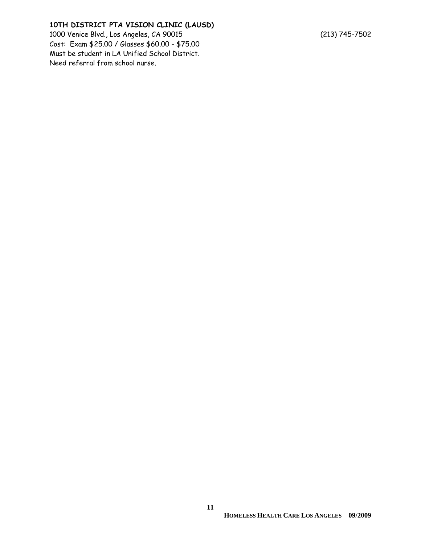#### **10TH DISTRICT PTA VISION CLINIC (LAUSD)**

1000 Venice Blvd., Los Angeles, CA 90015 (213) 745-7502 Cost: Exam \$25.00 / Glasses \$60.00 - \$75.00 Must be student in LA Unified School District. Need referral from school nurse.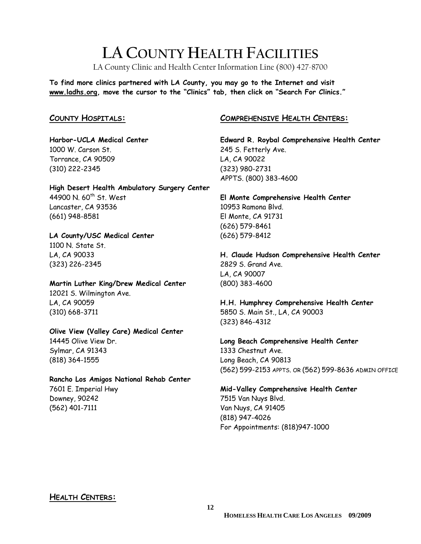## **LA COUNTY HEALTH FACILITIES**

LA County Clinic and Health Center Information Line (800) 427-8700

**To find more clinics partnered with LA County, you may go to the Internet and visit www.ladhs.org, move the cursor to the "Clinics" tab, then click on "Search For Clinics."** 

#### **COUNTY HOSPITALS:**

**Harbor-UCLA Medical Center**  1000 W. Carson St. Torrance, CA 90509 (310) 222-2345

**High Desert Health Ambulatory Surgery Center**  44900 N. 60<sup>th</sup> St. West

Lancaster, CA 93536 (661) 948-8581

#### **LA County/USC Medical Center**

1100 N. State St. LA, CA 90033 (323) 226-2345

**Martin Luther King/Drew Medical Center**  12021 S. Wilmington Ave. LA, CA 90059 (310) 668-3711

#### **Olive View (Valley Care) Medical Center**

14445 Olive View Dr. Sylmar, CA 91343 (818) 364-1555

#### **Rancho Los Amigos National Rehab Center**

7601 E. Imperial Hwy Downey, 90242 (562) 401-7111

#### **COMPREHENSIVE HEALTH CENTERS:**

**Edward R. Roybal Comprehensive Health Center**  245 S. Fetterly Ave. LA, CA 90022 (323) 980-2731 APPTS. (800) 383-4600

**El Monte Comprehensive Health Center**  10953 Ramona Blvd. El Monte, CA 91731 (626) 579-8461 (626) 579-8412

**H. Claude Hudson Comprehensive Health Center**  2829 S. Grand Ave. LA, CA 90007 (800) 383-4600

**H.H. Humphrey Comprehensive Health Center**  5850 S. Main St., LA, CA 90003 (323) 846-4312

**Long Beach Comprehensive Health Center**  1333 Chestnut Ave. Long Beach, CA 90813 (562) 599-2153 APPTS. OR (562) 599-8636 ADMIN OFFICE

**Mid-Valley Comprehensive Health Center**  7515 Van Nuys Blvd. Van Nuys, CA 91405 (818) 947-4026 For Appointments: (818)947-1000

#### **HEALTH CENTERS:**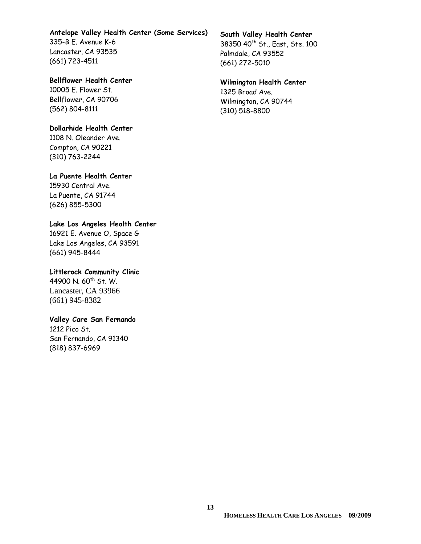## **Antelope Valley Health Center (Some Services)**

335-B E. Avenue K-6 Lancaster, CA 93535 (661) 723-4511

#### **Bellflower Health Center**

10005 E. Flower St. Bellflower, CA 90706 (562) 804-8111

#### **Dollarhide Health Center**

1108 N. Oleander Ave. Compton, CA 90221 (310) 763-2244

#### **La Puente Health Center**

15930 Central Ave. La Puente, CA 91744 (626) 855-5300

#### **Lake Los Angeles Health Center**

16921 E. Avenue O, Space G Lake Los Angeles, CA 93591 (661) 945-8444

#### **Littlerock Community Clinic**

44900 N. 60<sup>th</sup> St. W. Lancaster, CA 93966 (661) 945-8382

#### **Valley Care San Fernando**

1212 Pico St. San Fernando, CA 91340 (818) 837-6969

#### **South Valley Health Center**

38350 40th St., East, Ste. 100 Palmdale, CA 93552 (661) 272-5010

#### **Wilmington Health Center**

1325 Broad Ave. Wilmington, CA 90744 (310) 518-8800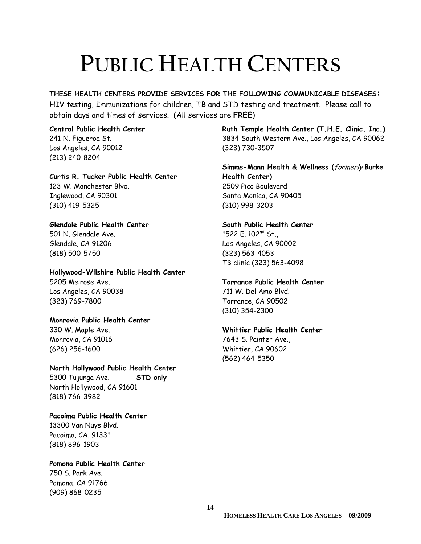# **PUBLIC HEALTH CENTERS**

**THESE HEALTH CENTERS PROVIDE SERVICES FOR THE FOLLOWING COMMUNICABLE DISEASES:**  HIV testing, Immunizations for children, TB and STD testing and treatment. Please call to obtain days and times of services. (All services are **FREE**)

**Central Public Health Center**  241 N. Figueroa St. Los Angeles, CA 90012 (213) 240-8204

**Curtis R. Tucker Public Health Center**  123 W. Manchester Blvd. Inglewood, CA 90301 (310) 419-5325

**Glendale Public Health Center**  501 N. Glendale Ave.

Glendale, CA 91206 (818) 500-5750

**Hollywood-Wilshire Public Health Center**  5205 Melrose Ave. Los Angeles, CA 90038 (323) 769-7800

**Monrovia Public Health Center** 

330 W. Maple Ave. Monrovia, CA 91016 (626) 256-1600

(818) 766-3982

**North Hollywood Public Health Center**  5300 Tujunga Ave. **STD only** North Hollywood, CA 91601

**Pacoima Public Health Center**  13300 Van Nuys Blvd. Pacoima, CA, 91331 (818) 896-1903

**Pomona Public Health Center**  750 S. Park Ave. Pomona, CA 91766 (909) 868-0235

**Ruth Temple Health Center (T.H.E. Clinic, Inc.)** 3834 South Western Ave., Los Angeles, CA 90062 (323) 730-3507

**Simms-Mann Health & Wellness (**formerly **Burke Health Center)**  2509 Pico Boulevard Santa Monica, CA 90405 (310) 998-3203

**South Public Health Center**  1522 E. 102<sup>nd</sup> St., Los Angeles, CA 90002 (323) 563-4053 TB clinic (323) 563-4098

**Torrance Public Health Center** 

711 W. Del Amo Blvd. Torrance, CA 90502 (310) 354-2300

**Whittier Public Health Center** 

7643 S. Painter Ave., Whittier, CA 90602 (562) 464-5350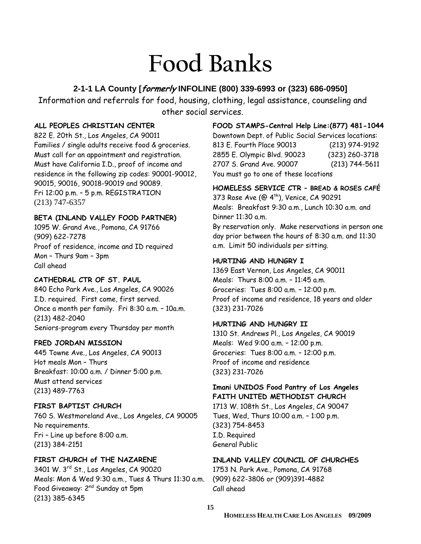# **Food Banks**

#### **2-1-1 LA County [formerly INFOLINE (800) 339-6993 or (323) 686-0950]**

Information and referrals for food, housing, clothing, legal assistance, counseling and other social services.

#### **ALL PEOPLES CHRISTIAN CENTER**

822 E. 20th St., Los Angeles, CA 90011 Families / single adults receive food & groceries. Must call for an appointment and registration. Must have California I.D., proof of income and residence in the following zip codes: 90001-90012, 90015, 90016, 90018-90019 and 90089. Fri 12:00 p.m. – 5 p.m. REGISTRATION (213) 747-6357

#### **BETA (INLAND VALLEY FOOD PARTNER)**

1095 W. Grand Ave., Pomona, CA 91766 (909) 622-7278 Proof of residence, income and ID required Mon – Thurs 9am – 3pm Call ahead

#### **CATHEDRAL CTR OF ST. PAUL**

840 Echo Park Ave., Los Angeles, CA 90026 I.D. required. First come, first served. Once a month per family. Fri 8:30 a.m. – 10a.m. (213) 482-2040 Seniors-program every Thursday per month

#### **FRED JORDAN MISSION**

445 Towne Ave., Los Angeles, CA 90013 Hot meals Mon – Thurs Breakfast: 10:00 a.m. / Dinner 5:00 p.m. Must attend services (213) 489-7763

#### **FIRST BAPTIST CHURCH**

760 S. Westmoreland Ave., Los Angeles, CA 90005 No requirements. Fri – Line up before 8:00 a.m. (213) 384-2151

#### **FIRST CHURCH of THE NAZARENE**

3401 W. 3rd St., Los Angeles, CA 90020 Meals: Mon & Wed 9:30 a.m., Tues & Thurs 11:30 a.m. Food Giveaway: 2<sup>nd</sup> Sunday at 5pm (213) 385-6345

#### **FOOD STAMPS-Central Help Line:(877) 481-1044**

Downtown Dept. of Public Social Services locations: 813 E. Fourth Place 90013 (213) 974-9192 2855 E. Olympic Blvd. 90023 (323) 260-3718 2707 S. Grand Ave. 90007 (213) 744-5611 You must go to one of these locations

#### **HOMELESS SERVICE CTR – BREAD & ROSES CAFÉ**

373 Rose Ave (@ 4<sup>th</sup>), Venice, CA 90291 Meals: Breakfast 9:30 a.m., Lunch 10:30 a.m. and Dinner 11:30 a.m.

By reservation only. Make reservations in person one day prior between the hours of 8:30 a.m. and 11:30 a.m. Limit 50 individuals per sitting.

#### **HURTING AND HUNGRY I**

1369 East Vernon, Los Angeles, CA 90011 Meals: Thurs 8:00 a.m. – 11:45 a.m. Groceries: Tues 8:00 a.m. – 12:00 p.m. Proof of income and residence, 18 years and older (323) 231-7026

#### **HURTING AND HUNGRY II**

1310 St. Andrews Pl., Los Angeles, CA 90019 Meals: Wed 9:00 a.m. – 12:00 p.m. Groceries: Tues 8:00 a.m. – 12:00 p.m. Proof of income and residence (323) 231-7026

#### **Imani UNIDOS Food Pantry of Los Angeles FAITH UNITED METHODIST CHURCH**

1713 W. 108th St., Los Angeles, CA 90047 Tues, Wed, Thurs 10:00 a.m. – 1:00 p.m. (323) 754-8453 I.D. Required General Public

#### **INLAND VALLEY COUNCIL OF CHURCHES**

1753 N. Park Ave., Pomona, CA 91768 (909) 622-3806 or (909)391-4882 Call ahead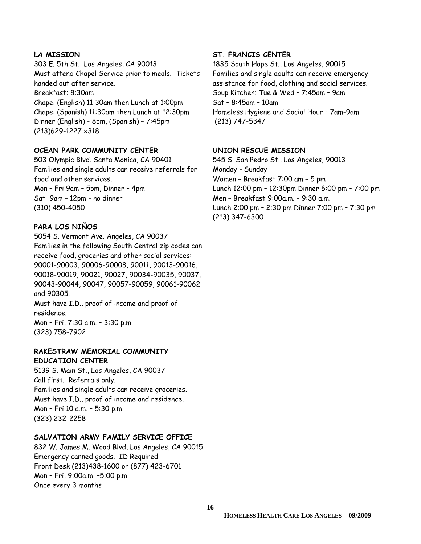#### **LA MISSION**

303 E. 5th St. Los Angeles, CA 90013 Must attend Chapel Service prior to meals. Tickets handed out after service. Breakfast: 8:30am Chapel (English) 11:30am then Lunch at 1:00pm Chapel (Spanish) 11:30am then Lunch at 12:30pm Dinner (English) - 8pm, (Spanish) – 7:45pm (213)629-1227 x318

#### **OCEAN PARK COMMUNITY CENTER**

503 Olympic Blvd. Santa Monica, CA 90401 Families and single adults can receive referrals for food and other services. Mon – Fri 9am – 5pm, Dinner – 4pm Sat 9am – 12pm - no dinner (310) 450-4050

#### **PARA LOS NIÑOS**

5054 S. Vermont Ave. Angeles, CA 90037 Families in the following South Central zip codes can receive food, groceries and other social services: 90001-90003, 90006-90008, 90011, 90013-90016, 90018-90019, 90021, 90027, 90034-90035, 90037, 90043-90044, 90047, 90057-90059, 90061-90062 and 90305.

Must have I.D., proof of income and proof of residence. Mon – Fri, 7:30 a.m. – 3:30 p.m.

(323) 758-7902

#### **RAKESTRAW MEMORIAL COMMUNITY EDUCATION CENTER**

5139 S. Main St., Los Angeles, CA 90037 Call first. Referrals only. Families and single adults can receive groceries. Must have I.D., proof of income and residence. Mon – Fri 10 a.m. – 5:30 p.m. (323) 232-2258

#### **SALVATION ARMY FAMILY SERVICE OFFICE**

832 W. James M. Wood Blvd, Los Angeles, CA 90015 Emergency canned goods. ID Required Front Desk (213)438-1600 or (877) 423-6701 Mon – Fri, 9:00a.m. –5:00 p.m. Once every 3 months

#### **ST. FRANCIS CENTER**

1835 South Hope St., Los Angeles, 90015 Families and single adults can receive emergency assistance for food, clothing and social services. Soup Kitchen: Tue & Wed – 7:45am – 9am Sat – 8:45am – 10am Homeless Hygiene and Social Hour – 7am-9am (213) 747-5347

#### **UNION RESCUE MISSION**

545 S. San Pedro St., Los Angeles, 90013 Monday - Sunday Women – Breakfast 7:00 am – 5 pm Lunch 12:00 pm – 12:30pm Dinner 6:00 pm – 7:00 pm Men – Breakfast 9:00a.m. – 9:30 a.m. Lunch 2:00 pm – 2:30 pm Dinner 7:00 pm – 7:30 pm (213) 347-6300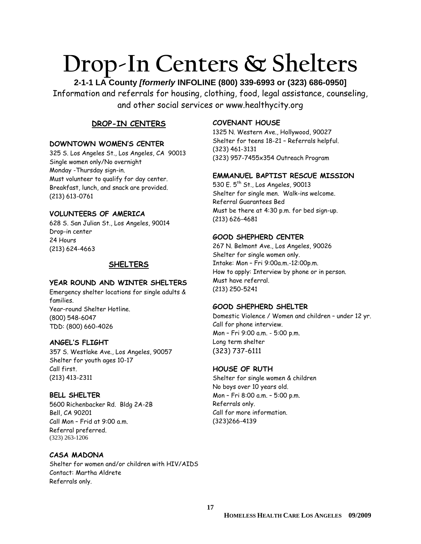# **Drop-In Centers & Shelters**

**2-1-1 LA County** *[formerly* **INFOLINE (800) 339-6993 or (323) 686-0950]**  Information and referrals for housing, clothing, food, legal assistance, counseling, and other social services or www.healthycity.org

#### **DROP-IN CENTERS**

#### **DOWNTOWN WOMEN'S CENTER**

325 S. Los Angeles St., Los Angeles, CA 90013 Single women only/No overnight Monday -Thursday sign-in. Must volunteer to qualify for day center. Breakfast, lunch, and snack are provided. (213) 613-0761

#### **VOLUNTEERS OF AMERICA**

628 S. San Julian St., Los Angeles, 90014 Drop-in center 24 Hours (213) 624-4663

#### **SHELTERS**

#### **YEAR ROUND AND WINTER SHELTERS**

Emergency shelter locations for single adults & families. Year-round Shelter Hotline. (800) 548-6047 TDD: (800) 660-4026

#### **ANGEL'S FLIGHT**

357 S. Westlake Ave., Los Angeles, 90057 Shelter for youth ages 10-17 Call first. (213) 413-2311

#### **BELL SHELTER**

5600 Richenbacker Rd. Bldg 2A-2B Bell, CA 90201 Call Mon – Frid at 9:00 a.m. Referral preferred. (323) 263-1206

#### **CASA MADONA**

Shelter for women and/or children with HIV/AIDS Contact: Martha Aldrete Referrals only.

#### **COVENANT HOUSE**

1325 N. Western Ave., Hollywood, 90027 Shelter for teens 18-21 – Referrals helpful. (323) 461-3131 (323) 957-7455x354 Outreach Program

#### **EMMANUEL BAPTIST RESCUE MISSION**

530 E.  $5^{th}$  St., Los Angeles, 90013 Shelter for single men. Walk-ins welcome. Referral Guarantees Bed Must be there at 4:30 p.m. for bed sign-up. (213) 626-4681

#### **GOOD SHEPHERD CENTER**

267 N. Belmont Ave., Los Angeles, 90026 Shelter for single women only. Intake: Mon – Fri 9:00a.m.-12:00p.m. How to apply: Interview by phone or in person. Must have referral. (213) 250-5241

#### **GOOD SHEPHERD SHELTER**

Domestic Violence / Women and children – under 12 yr. Call for phone interview. Mon – Fri 9:00 a.m. - 5:00 p.m. Long term shelter (323) 737-6111

#### **HOUSE OF RUTH**

Shelter for single women & children No boys over 10 years old. Mon – Fri 8:00 a.m. – 5:00 p.m. Referrals only. Call for more information. (323)266-4139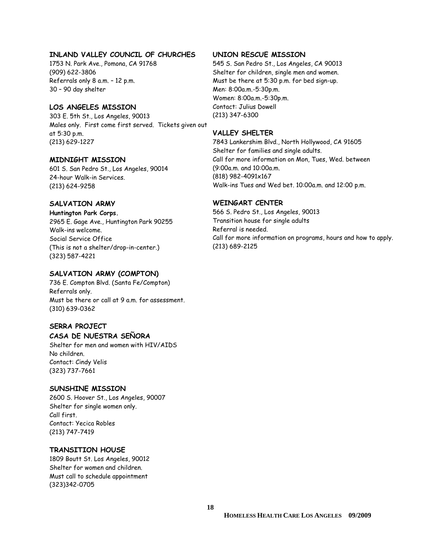#### **INLAND VALLEY COUNCIL OF CHURCHES**

1753 N. Park Ave., Pomona, CA 91768 (909) 622-3806 Referrals only 8 a.m. – 12 p.m. 30 – 90 day shelter

#### **LOS ANGELES MISSION**

303 E. 5th St., Los Angeles, 90013 Males only. First come first served. Tickets given out at 5:30 p.m. (213) 629-1227

#### **MIDNIGHT MISSION**

601 S. San Pedro St., Los Angeles, 90014 24-hour Walk-in Services. (213) 624-9258

#### **SALVATION ARMY**

**Huntington Park Corps.** 2965 E. Gage Ave., Huntington Park 90255 Walk-ins welcome. Social Service Office (This is not a shelter/drop-in-center.) (323) 587-4221

#### **SALVATION ARMY (COMPTON)**

736 E. Compton Blvd. (Santa Fe/Compton) Referrals only. Must be there or call at 9 a.m. for assessment. (310) 639-0362

#### **SERRA PROJECT**

#### **CASA DE NUESTRA SEÑORA**

Shelter for men and women with HIV/AIDS No children. Contact: Cindy Velis (323) 737-7661

#### **SUNSHINE MISSION**

2600 S. Hoover St., Los Angeles, 90007 Shelter for single women only. Call first. Contact: Yecica Robles (213) 747-7419

#### **TRANSITION HOUSE**

1809 Boutt St. Los Angeles, 90012 Shelter for women and children. Must call to schedule appointment (323)342-0705

#### **UNION RESCUE MISSION**

545 S. San Pedro St., Los Angeles, CA 90013 Shelter for children, single men and women. Must be there at 5:30 p.m. for bed sign-up. Men: 8:00a.m.-5:30p.m. Women: 8:00a.m.-5:30p.m. Contact: Julius Dowell (213) 347-6300

#### **VALLEY SHELTER**

7843 Lankershim Blvd., North Hollywood, CA 91605 Shelter for families and single adults. Call for more information on Mon, Tues, Wed. between (9:00a.m. and 10:00a.m. (818) 982-4091x167 Walk-ins Tues and Wed bet. 10:00a.m. and 12:00 p.m.

#### **WEINGART CENTER**

566 S. Pedro St., Los Angeles, 90013 Transition house for single adults Referral is needed. Call for more information on programs, hours and how to apply. (213) 689-2125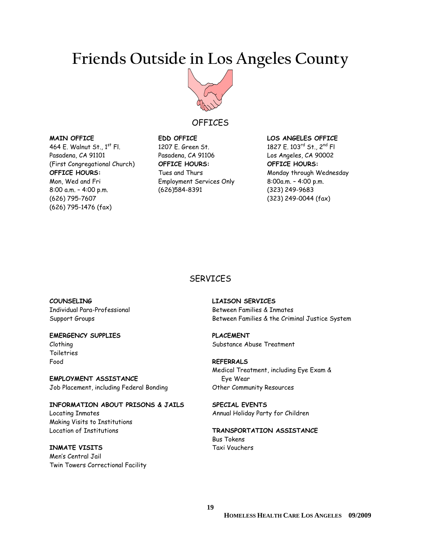## **Friends Outside in Los Angeles County**



#### **OFFICES**

**SERVICES** 

#### **MAIN OFFICE**

464 E. Walnut St., 1<sup>st</sup> Fl. Pasadena, CA 91101 (First Congregational Church) **OFFICE HOURS:**  Mon, Wed and Fri 8:00 a.m. – 4:00 p.m. (626) 795-7607 (626) 795-1476 (fax)

#### **EDD OFFICE** 1207 E. Green St. Pasadena, CA 91106 **OFFICE HOURS:**  Tues and Thurs Employment Services Only (626)584-8391

#### **LOS ANGELES OFFICE**

1827 E. 103rd St., 2nd Fl Los Angeles, CA 90002 **OFFICE HOURS:**  Monday through Wednesday 8:00a.m. – 4:00 p.m. (323) 249-9683 (323) 249-0044 (fax)

## **COUNSELING**  Individual Para-Professional

Support Groups

#### **EMERGENCY SUPPLIES**

Clothing Toiletries Food

**EMPLOYMENT ASSISTANCE**  Job Placement, including Federal Bonding

**INFORMATION ABOUT PRISONS & JAILS**  Locating Inmates Making Visits to Institutions Location of Institutions

#### **INMATE VISITS**

Men's Central Jail Twin Towers Correctional Facility **LIAISON SERVICES** Between Families & Inmates Between Families & the Criminal Justice System

**PLACEMENT**  Substance Abuse Treatment

**REFERRALS**  Medical Treatment, including Eye Exam & Eye Wear Other Community Resources

**SPECIAL EVENTS**  Annual Holiday Party for Children

#### **TRANSPORTATION ASSISTANCE**  Bus Tokens Taxi Vouchers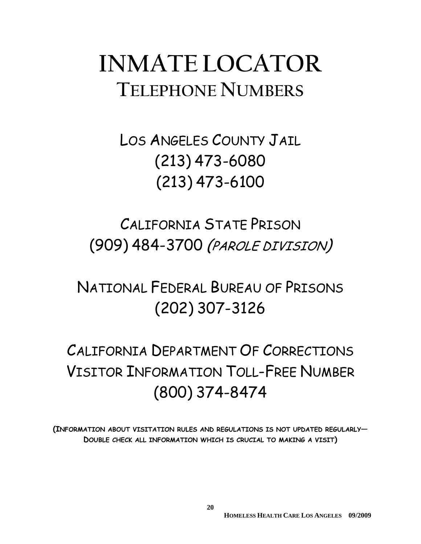# **INMATE LOCATOR TELEPHONE NUMBERS**

# LOS ANGELES COUNTY JAIL (213) 473-6080 (213) 473-6100

# CALIFORNIA STATE PRISON (909) 484-3700 (PAROLE DIVISION)

# NATIONAL FEDERAL BUREAU OF PRISONS (202) 307-3126

# CALIFORNIA DEPARTMENT OF CORRECTIONS VISITOR INFORMATION TOLL-FREE NUMBER (800) 374-8474

**(INFORMATION ABOUT VISITATION RULES AND REGULATIONS IS NOT UPDATED REGULARLY— DOUBLE CHECK ALL INFORMATION WHICH IS CRUCIAL TO MAKING A VISIT)**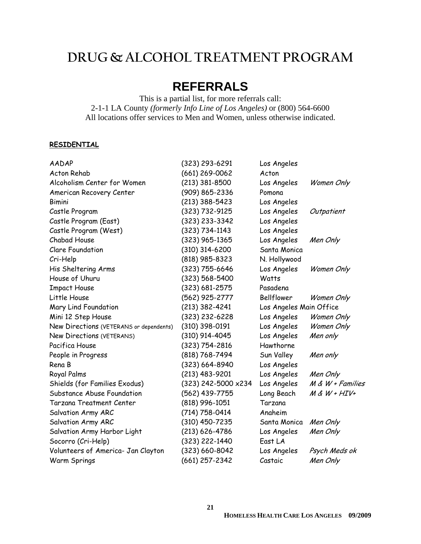## **DRUG & ALCOHOL TREATMENT PROGRAM**

## **REFERRALS**

This is a partial list, for more referrals call: 2-1-1 LA County *(formerly Info Line of Los Angeles)* or (800) 564-6600 All locations offer services to Men and Women, unless otherwise indicated.

#### **RESIDENTIAL**

| <b>AADAP</b>                            | (323) 293-6291      | Los Angeles             |                     |
|-----------------------------------------|---------------------|-------------------------|---------------------|
| <b>Acton Rehab</b>                      | $(661)$ 269-0062    | Acton                   |                     |
| Alcoholism Center for Women             | $(213)$ 381-8500    | Los Angeles             | Women Only          |
| American Recovery Center                | (909) 865-2336      | Pomona                  |                     |
| <b>Bimini</b>                           | $(213)$ 388-5423    | Los Angeles             |                     |
| Castle Program                          | (323) 732-9125      | Los Angeles             | Outpatient          |
| Castle Program (East)                   | (323) 233-3342      | Los Angeles             |                     |
| Castle Program (West)                   | $(323) 734 - 1143$  | Los Angeles             |                     |
| Chabad House                            | (323) 965-1365      | Los Angeles             | Men Only            |
| <b>Clare Foundation</b>                 | $(310)$ 314-6200    | Santa Monica            |                     |
| Cri-Help                                | (818) 985-8323      | N. Hollywood            |                     |
| His Sheltering Arms                     | (323) 755-6646      | Los Angeles             | Women Only          |
| House of Uhuru                          | (323) 568-5400      | Watts                   |                     |
| <b>Impact House</b>                     | (323) 681-2575      | Pasadena                |                     |
| Little House                            | (562) 925-2777      | Bellflower              | Women Only          |
| Mary Lind Foundation                    | $(213)$ 382-4241    | Los Angeles Main Office |                     |
| Mini 12 Step House                      | $(323)$ 232-6228    | Los Angeles             | Women Only          |
| New Directions (VETERANS or dependents) | (310) 398-0191      | Los Angeles             | Women Only          |
| New Directions (VETERANS)               | (310) 914-4045      | Los Angeles             | Men only            |
| Pacifica House                          | (323) 754-2816      | Hawthorne               |                     |
| People in Progress                      | (818) 768-7494      | Sun Valley              | Men only            |
| Rena B                                  | (323) 664-8940      | Los Angeles             |                     |
| Royal Palms                             | $(213)$ 483-9201    | Los Angeles             | Men Only            |
| Shields (for Families Exodus)           | (323) 242-5000 x234 | Los Angeles             | $M \& W + Families$ |
| Substance Abuse Foundation              | (562) 439-7755      | Long Beach              | $M & W + HIV +$     |
| <b>Tarzana Treatment Center</b>         | (818) 996-1051      | Tarzana                 |                     |
| Salvation Army ARC                      | (714) 758-0414      | Anaheim                 |                     |
| Salvation Army ARC                      | (310) 450-7235      | Santa Monica            | Men Only            |
| Salvation Army Harbor Light             | $(213) 626 - 4786$  | Los Angeles             | Men Only            |
| Socorro (Cri-Help)                      | (323) 222-1440      | East LA                 |                     |
| Volunteers of America- Jan Clayton      | (323) 660-8042      | Los Angeles             | Psych Meds ok       |
| Warm Springs                            | (661) 257-2342      | Castaic                 | Men Only            |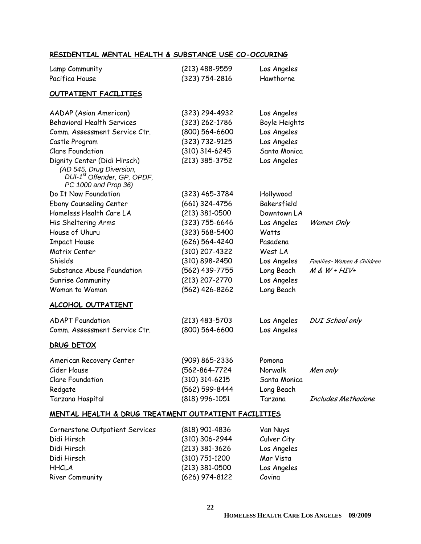#### **RESIDENTIAL MENTAL HEALTH & SUBSTANCE USE CO-OCCURING**

| Lamp Community<br>Pacifica House                                                                                            | (213) 488-9559<br>$(323) 754 - 2816$ | Los Angeles<br>Hawthorne     |                           |
|-----------------------------------------------------------------------------------------------------------------------------|--------------------------------------|------------------------------|---------------------------|
| <b>OUTPATIENT FACILITIES</b>                                                                                                |                                      |                              |                           |
| AADAP (Asian American)<br><b>Behavioral Health Services</b>                                                                 | $(323)$ 294-4932<br>(323) 262-1786   | Los Angeles<br>Boyle Heights |                           |
| Comm. Assessment Service Ctr.                                                                                               | $(800) 564 - 6600$                   | Los Angeles                  |                           |
| Castle Program                                                                                                              | $(323) 732 - 9125$                   | Los Angeles                  |                           |
| <b>Clare Foundation</b>                                                                                                     | $(310)$ 314-6245                     | Santa Monica                 |                           |
| Dignity Center (Didi Hirsch)<br>(AD 545, Drug Diversion,<br>DUI-1 <sup>st</sup> Offender, GP, OPDF,<br>PC 1000 and Prop 36) | $(213)$ 385-3752                     | Los Angeles                  |                           |
| Do It Now Foundation                                                                                                        | $(323)$ 465-3784                     | Hollywood                    |                           |
| Ebony Counseling Center                                                                                                     | (661) 324-4756                       | Bakersfield                  |                           |
| Homeless Health Care LA                                                                                                     | $(213)$ 381-0500                     | Downtown LA                  |                           |
| His Sheltering Arms                                                                                                         | $(323)$ 755-6646                     | Los Angeles                  | Women Only                |
| House of Uhuru                                                                                                              | $(323) 568 - 5400$                   | Watts                        |                           |
| <b>Impact House</b>                                                                                                         | $(626) 564 - 4240$                   | Pasadena                     |                           |
| Matrix Center                                                                                                               | (310) 207-4322                       | West LA                      |                           |
| Shields                                                                                                                     | (310) 898-2450                       | Los Angeles                  | Families-Women & Children |
| Substance Abuse Foundation                                                                                                  | (562) 439-7755                       | Long Beach                   | $M$ & $W$ + $HIV+$        |
| Sunrise Community                                                                                                           | (213) 207-2770                       | Los Angeles                  |                           |
| Woman to Woman                                                                                                              | (562) 426-8262                       | Long Beach                   |                           |
| <u>ALCOHOL OUTPATIENT</u>                                                                                                   |                                      |                              |                           |
| <b>ADAPT Foundation</b>                                                                                                     | $(213)$ 483-5703                     | Los Angeles                  | <b>DUI</b> School only    |
| Comm. Assessment Service Ctr.                                                                                               | $(800) 564 - 6600$                   | Los Angeles                  |                           |
| DRUG DETOX                                                                                                                  |                                      |                              |                           |
| American Recovery Center                                                                                                    | (909) 865-2336                       | Pomona                       |                           |
| Cider House                                                                                                                 | (562-864-7724                        | Norwalk                      | Men only                  |
| <b>Clare Foundation</b>                                                                                                     | $(310)$ 314-6215                     | Santa Monica                 |                           |
| Redgate                                                                                                                     | (562) 599-8444                       | Long Beach                   |                           |
| Tarzana Hospital                                                                                                            | $(818)$ 996-1051                     | Tarzana                      | Includes Methadone        |
| <u>MENTAL HEALTH &amp; DRUG TREATMENT OUTPATIENT FACILITIES</u>                                                             |                                      |                              |                           |
| Cornerstone Outpatient Services                                                                                             | $(818)$ 901-4836                     | Van Nuys                     |                           |
| Didi Hirsch                                                                                                                 | $(310)$ 306-2944                     | Culver City                  |                           |
| Didi Hirsch                                                                                                                 | $(213)$ 381-3626                     | Los Angeles                  |                           |
| Didi Hirsch                                                                                                                 | $(310) 751 - 1200$                   | Mar Vista                    |                           |
| <b>HHCLA</b>                                                                                                                | $(213)$ 381-0500                     | Los Angeles                  |                           |

River Community (626) 974-8122 Covina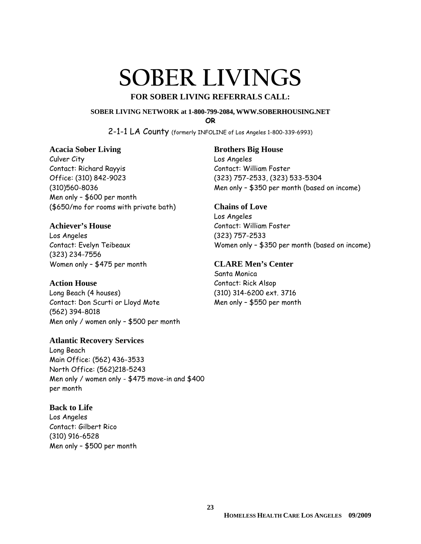# **SOBER LIVINGS**

#### **FOR SOBER LIVING REFERRALS CALL:**

#### **SOBER LIVING NETWORK at 1-800-799-2084, WWW.SOBERHOUSING.NET**

**OR**

2-1-1 LA County (formerly INFOLINE of Los Angeles 1-800-339-6993)

#### **Acacia Sober Living**

Culver City Contact: Richard Rayyis Office: (310) 842-9023 (310)560-8036 Men only – \$600 per month (\$650/mo for rooms with private bath)

#### **Achiever's House**

Los Angeles Contact: Evelyn Teibeaux (323) 234-7556 Women only – \$475 per month

#### **Action House**

Long Beach (4 houses) Contact: Don Scurti or Lloyd Mote (562) 394-8018 Men only / women only – \$500 per month

#### **Atlantic Recovery Services**  Long Beach Main Office: (562) 436-3533 North Office: (562)218-5243

Men only / women only - \$475 move-in and \$400 per month

#### **Back to Life**

Los Angeles Contact: Gilbert Rico (310) 916-6528 Men only – \$500 per month

#### **Brothers Big House**

Los Angeles Contact: William Foster (323) 757-2533, (323) 533-5304 Men only – \$350 per month (based on income)

#### **Chains of Love**  Los Angeles Contact: William Foster (323) 757-2533 Women only – \$350 per month (based on income)

#### **CLARE Men's Center**

Santa Monica Contact: Rick Alsop (310) 314-6200 ext. 3716 Men only – \$550 per month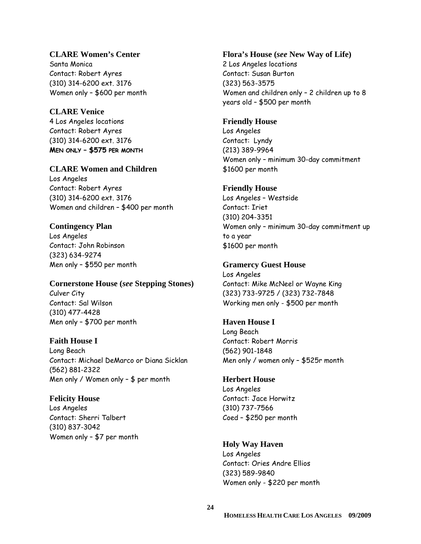#### **CLARE Women's Center**

Santa Monica Contact: Robert Ayres (310) 314-6200 ext. 3176 Women only – \$600 per month

#### **CLARE Venice**

4 Los Angeles locations Contact: Robert Ayres (310) 314-6200 ext. 3176 **MEN ONLY – \$575 PER MONTH**

#### **CLARE Women and Children**

Los Angeles Contact: Robert Ayres (310) 314-6200 ext. 3176 Women and children – \$400 per month

#### **Contingency Plan**

Los Angeles Contact: John Robinson (323) 634-9274 Men only – \$550 per month

## **Cornerstone House (***see* **Stepping Stones)**

Culver City Contact: Sal Wilson (310) 477-4428 Men only – \$700 per month

#### **Faith House I**

Long Beach Contact: Michael DeMarco or Diana Sicklan (562) 881-2322 Men only / Women only – \$ per month

#### **Felicity House**

Los Angeles Contact: Sherri Talbert (310) 837-3042 Women only – \$7 per month

#### **Flora's House (***see* **New Way of Life)**

2 Los Angeles locations Contact: Susan Burton (323) 563-3575 Women and children only – 2 children up to 8 years old – \$500 per month

#### **Friendly House**

Los Angeles Contact: Lyndy (213) 389-9964 Women only – minimum 30-day commitment \$1600 per month

#### **Friendly House**

Los Angeles – Westside Contact: Iriet (310) 204-3351 Women only – minimum 30-day commitment up to a year \$1600 per month

#### **Gramercy Guest House**

Los Angeles Contact: Mike McNeel or Wayne King (323) 733-9725 / (323) 732-7848 Working men only - \$500 per month

#### **Haven House I**

Long Beach Contact: Robert Morris (562) 901-1848 Men only / women only – \$525r month

#### **Herbert House**

Los Angeles Contact: Jace Horwitz (310) 737-7566 Coed – \$250 per month

#### **Holy Way Haven**

Los Angeles Contact: Ories Andre Ellios (323) 589-9840 Women only - \$220 per month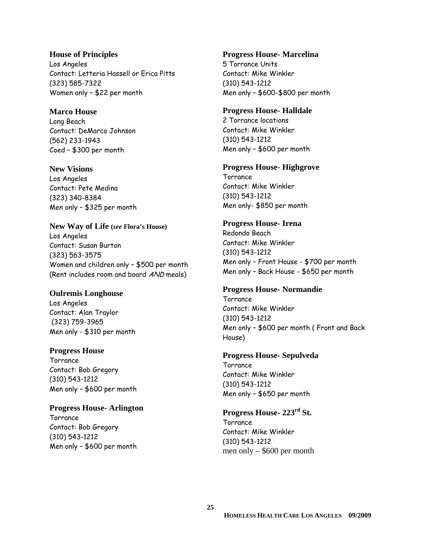#### **House of Principles**  Los Angeles Contact: Letteria Hassell or Erica Pitts (323) 585-7322 Women only – \$22 per month

#### **Marco House**

Long Beach Contact: DeMarco Johnson (562) 233-1943 Coed – \$300 per month

#### **New Visions**

Los Angeles Contact: Pete Medina (323) 340-8384 Men only – \$325 per month

#### **New Way of Life (***see* **Flora's House)**  Los Angeles

Contact: Susan Burton (323) 563-3575 Women and children only – \$500 per month (Rent includes room and board AND meals)

#### **Oulremis Longhouse**

Los Angeles Contact: Alan Traylor (323) 759-3965 Men only - \$310 per month

#### **Progress House**

**Torrance** Contact: Bob Gregory (310) 543-1212 Men only – \$600 per month

#### **Progress House- Arlington**

**Torrance** Contact: Bob Gregory (310) 543-1212 Men only – \$600 per month

#### **Progress House- Marcelina**

5 Torrance Units Contact: Mike Winkler (310) 543-1212 Men only – \$600-\$800 per month

#### **Progress House- Halldale**

2 Torrance locations Contact: Mike Winkler (310) 543-1212 Men only – \$600 per month

#### **Progress House- Highgrove**

**Torrance** Contact: Mike Winkler (310) 543-1212 Men only- \$850 per month

#### **Progress House- Irena**

Redondo Beach Contact: Mike Winkler (310) 543-1212 Men only – Front House - \$700 per month Men only – Back House - \$650 per month

#### **Progress House- Normandie**

**Torrance** Contact: Mike Winkler (310) 543-1212 Men only – \$600 per month ( Front and Back House)

#### **Progress House- Sepulveda**

Torrance Contact: Mike Winkler (310) 543-1212 Men only – \$650 per month

#### **Progress House- 223rd St.**

**Torrance** Contact: Mike Winkler (310) 543-1212 men only – \$600 per month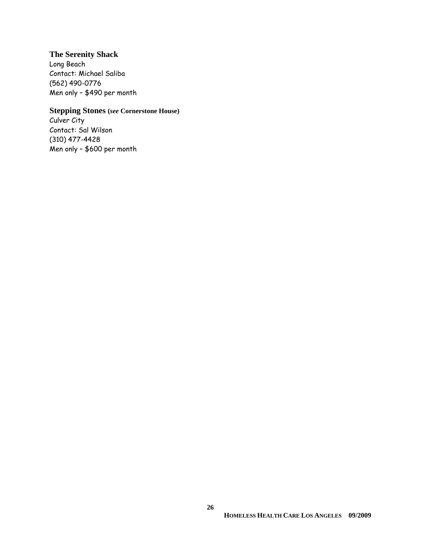#### **The Serenity Shack**

Long Beach Contact: Michael Saliba (562) 490-0776 Men only – \$490 per month

#### **Stepping Stones (***see* **Cornerstone House)**

Culver City Contact: Sal Wilson (310) 477-4428 Men only – \$600 per month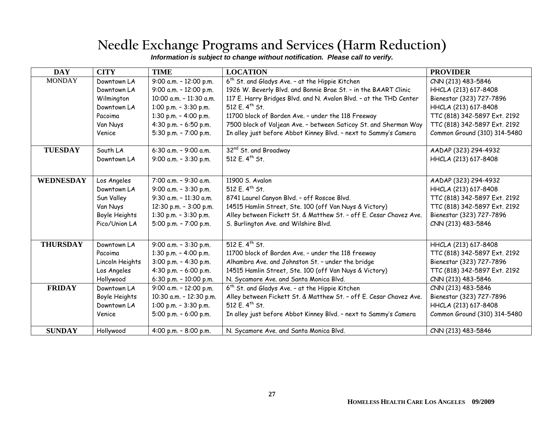## **Needle Exchange Programs and Services (Harm Reduction)**

|  | Information is subject to change without notification. Please call to verify. |  |
|--|-------------------------------------------------------------------------------|--|

| <b>DAY</b>       | <b>CITY</b>     | <b>TIME</b>              | <b>LOCATION</b>                                                    | <b>PROVIDER</b>              |
|------------------|-----------------|--------------------------|--------------------------------------------------------------------|------------------------------|
| <b>MONDAY</b>    | Downtown LA     | 9:00 a.m. - 12:00 p.m.   | 6 <sup>th</sup> St. and Gladys Ave. - at the Hippie Kitchen        | CNN (213) 483-5846           |
|                  | Downtown LA     | 9:00 a.m. - 12:00 p.m.   | 1926 W. Beverly Blvd. and Bonnie Brae St. - in the BAART Clinic    | HHCLA (213) 617-8408         |
|                  | Wilmington      | 10:00 a.m. - 11:30 a.m.  | 117 E. Harry Bridges Blvd. and N. Avalon Blvd. - at the THD Center | Bienestar (323) 727-7896     |
|                  | Downtown LA     | 1:00 p.m. - 3:30 p.m.    | 512 E. 4 <sup>th</sup> St.                                         | HHCLA (213) 617-8408         |
|                  | Pacoima         | 1:30 p.m. $-$ 4:00 p.m.  | 11700 block of Borden Ave. - under the 118 Freeway                 | TTC (818) 342-5897 Ext. 2192 |
|                  | Van Nuys        | 4:30 p.m. - 6:50 p.m.    | 7500 block of Valjean Ave. - between Saticoy St. and Sherman Way   | TTC (818) 342-5897 Ext. 2192 |
|                  | Venice          | 5:30 p.m. - 7:00 p.m.    | In alley just before Abbot Kinney Blvd. - next to Sammy's Camera   | Common Ground (310) 314-5480 |
| <b>TUESDAY</b>   | South LA        | 6:30 a.m. $-9:00$ a.m.   | 32 <sup>nd</sup> St. and Broadway                                  | AADAP (323) 294-4932         |
|                  | Downtown LA     | 9:00 a.m. - 3:30 p.m.    | 512 E. 4 <sup>th</sup> St.                                         | HHCLA (213) 617-8408         |
|                  |                 |                          |                                                                    |                              |
| <b>WEDNESDAY</b> | Los Angeles     | 7:00 a.m. - 9:30 a.m.    | 11900 S. Avalon                                                    | AADAP (323) 294-4932         |
|                  | Downtown LA     | 9:00 a.m. - 3:30 p.m.    | 512 E. 4 <sup>th</sup> St.                                         | HHCLA (213) 617-8408         |
|                  | Sun Valley      | $9:30$ a.m. - 11:30 a.m. | 8741 Laurel Canyon Blvd. - off Roscoe Blvd.                        | TTC (818) 342-5897 Ext. 2192 |
|                  | Van Nuys        | 12:30 p.m. - 3:00 p.m.   | 14515 Hamlin Street, Ste. 100 (off Van Nuys & Victory)             | TTC (818) 342-5897 Ext. 2192 |
|                  | Boyle Heights   | 1:30 p.m. $-3:30$ p.m.   | Alley between Fickett St. & Matthew St. - off E. Cesar Chavez Ave. | Bienestar (323) 727-7896     |
|                  | Pico/Union LA   | 5:00 p.m. - 7:00 p.m.    | S. Burlington Ave. and Wilshire Blvd.                              | CNN (213) 483-5846           |
|                  |                 |                          |                                                                    |                              |
| <b>THURSDAY</b>  | Downtown LA     | 9:00 a.m. - 3:30 p.m.    | 512 E. 4 <sup>th</sup> St.                                         | HHCLA (213) 617-8408         |
|                  | Pacoima         | 1:30 p.m. - 4:00 p.m.    | 11700 block of Borden Ave. - under the 118 freeway                 | TTC (818) 342-5897 Ext. 2192 |
|                  | Lincoln Heights | 3:00 p.m. - 4:30 p.m.    | Alhambra Ave. and Johnston St. - under the bridge                  | Bienestar (323) 727-7896     |
|                  | Los Angeles     | 4:30 p.m. $-6:00$ p.m.   | 14515 Hamlin Street, Ste. 100 (off Van Nuys & Victory)             | TTC (818) 342-5897 Ext. 2192 |
|                  | Hollywood       | 6:30 p.m. - 10:00 p.m.   | N. Sycamore Ave. and Santa Monica Blvd.                            | CNN (213) 483-5846           |
| <b>FRIDAY</b>    | Downtown LA     | 9:00 a.m. - 12:00 p.m.   | 6 <sup>th</sup> St. and Gladys Ave. - at the Hippie Kitchen        | CNN (213) 483-5846           |
|                  | Boyle Heights   | 10:30 a.m. - 12:30 p.m.  | Alley between Fickett St. & Matthew St. - off E. Cesar Chavez Ave. | Bienestar (323) 727-7896     |
|                  | Downtown LA     | 1:00 p.m. - 3:30 p.m.    | 512 E. 4 <sup>th</sup> St.                                         | HHCLA (213) 617-8408         |
|                  | Venice          | 5:00 p.m. - 6:00 p.m.    | In alley just before Abbot Kinney Blvd. - next to Sammy's Camera   | Common Ground (310) 314-5480 |
| <b>SUNDAY</b>    | Hollywood       | 4:00 p.m. - 8:00 p.m.    | N. Sycamore Ave. and Santa Monica Blvd.                            | CNN (213) 483-5846           |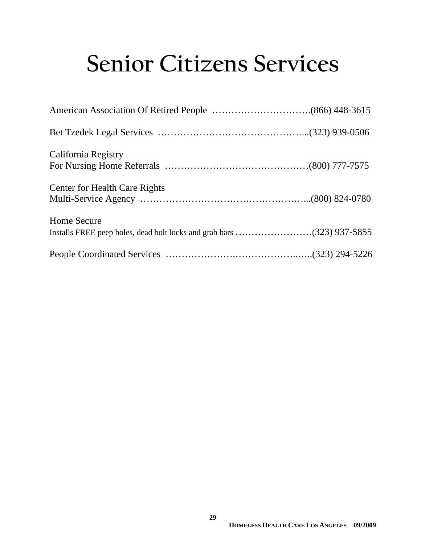# **Senior Citizens Services**

| California Registry                  |  |
|--------------------------------------|--|
| <b>Center for Health Care Rights</b> |  |
| <b>Home Secure</b>                   |  |
|                                      |  |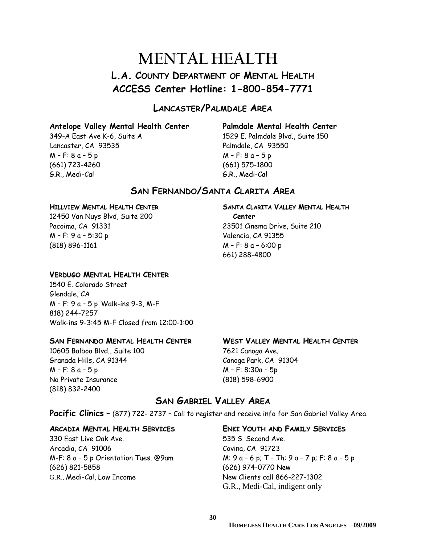## **MENTAL HEALTH L.A. COUNTY DEPARTMENT OF MENTAL HEALTH ACCESS Center Hotline: 1-800-854-7771**

#### **LANCASTER/PALMDALE AREA**

#### **Antelope Valley Mental Health Center Palmdale Mental Health Center**

Lancaster, CA 93535 Palmdale, CA 93550 M – F: 8 a – 5 p M – F: 8 a – 5 p (661) 723-4260 (661) 575-1800 G.R., Medi-Cal G.R., Medi-Cal

349-A East Ave K-6, Suite A 1529 E. Palmdale Blvd., Suite 150

#### **SAN FERNANDO/SANTA CLARITA AREA**

#### **HILLVIEW MENTAL HEALTH CENTER SANTA CLARITA VALLEY MENTAL HEALTH**

12450 Van Nuys Blvd, Suite 200 **Center** Pacoima, CA 91331 23501 Cinema Drive, Suite 210 M – F: 9 a – 5:30 p Valencia, CA 91355 (818) 896-1161 M – F: 8 a – 6:00 p

#### **VERDUGO MENTAL HEALTH CENTER**

1540 E. Colorado Street Glendale, CA M – F: 9 a – 5 p Walk-ins 9-3, M-F 818) 244-7257 Walk-ins 9-3:45 M-F Closed from 12:00-1:00

#### **SAN FERNANDO MENTAL HEALTH CENTER WEST VALLEY MENTAL HEALTH CENTER**

10605 Balboa Blvd., Suite 100 7621 Canoga Ave. Granada Hills, CA 91344 Canoga Park, CA 91304 M – F: 8 a – 5 p M – F: 8:30a – 5p No Private Insurance (818) 598-6900 (818) 832-2400

661) 288-4800

#### **SAN GABRIEL VALLEY AREA**

Pacific Clinics - (877) 722- 2737 - Call to register and receive info for San Gabriel Valley Area.

#### **ARCADIA MENTAL HEALTH SERVICES ENKI YOUTH AND FAMILY SERVICES**

330 East Live Oak Ave. 535 S. Second Ave. Arcadia, CA 91006 Covina, CA 91723 (626) 821-5858 (626) 974-0770 New G.R., Medi-Cal, Low Income New Clients call 866-227-1302

M-F:  $8a - 5p$  Orientation Tues. @9am  $M: 9a - 6p$ ; T – Th:  $9a - 7p$ ; F:  $8a - 5p$ G.R., Medi-Cal, indigent only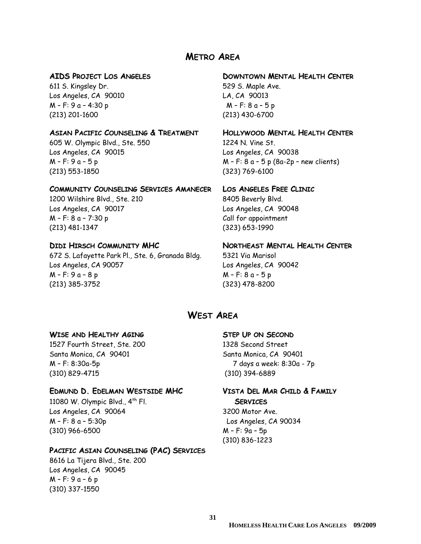#### **METRO AREA**

611 S. Kingsley Dr. 611 S. Kingsley Dr. Los Angeles, CA 90010 LA, CA 90013 M – F: 9 a – 4:30 p M – F: 8 a – 5 p (213) 201-1600 (213) 430-6700

#### **ASIAN PACIFIC COUNSELING & TREATMENT HOLLYWOOD MENTAL HEALTH CENTER**

605 W. Olympic Blvd., Ste. 550 1224 N. Vine St. Los Angeles, CA 90015 Los Angeles, CA 90038 (213) 553-1850 (323) 769-6100

#### **COMMUNITY COUNSELING SERVICES AMANECER LOS ANGELES FREE CLINIC**

1200 Wilshire Blvd., Ste. 210 8405 Beverly Blvd. Los Angeles, CA 90017 Los Angeles, CA 90048  $M - F: 8a - 7:30 p$  Call for appointment (213) 481-1347 (323) 653-1990

672 S. Lafayette Park Pl., Ste. 6, Granada Bldg. 5321 Via Marisol Los Angeles, CA 90057 Los Angeles, CA 90042 M – F: 9 a – 8 p M – F: 8 a – 5 p (213) 385-3752 (323) 478-8200

#### **AIDS PROJECT LOS ANGELES DOWNTOWN MENTAL HEALTH CENTER**

M – F: 9 a – 5 p M – F: 8 a – 5 p (8a-2p – new clients)

#### **DIDI HIRSCH COMMUNITY MHC NORTHEAST MENTAL HEALTH CENTER**

#### **WEST AREA**

#### **WISE AND HEALTHY AGING STEP UP ON SECOND**

1527 Fourth Street, Ste. 200 1328 Second Street Santa Monica, CA 90401 Santa Monica, CA 90401 M – F: 8:30a-5p 7 days a week: 8:30a - 7p (310) 829-4715 (310) 394-6889

#### **EDMUND D. EDELMAN WESTSIDE MHC VISTA DEL MAR CHILD & FAMILY**

11080 W. Olympic Blvd., 4th Fl.**SERVICES** Los Angeles, CA 90064 3200 Motor Ave. M – F: 8 a – 5:30p Los Angeles, CA 90034 (310) 966-6500 M – F: 9a – 5p

#### **PACIFIC ASIAN COUNSELING (PAC) SERVICES**

8616 La Tijera Blvd., Ste. 200 Los Angeles, CA 90045 M – F: 9 a – 6 p (310) 337-1550

(310) 836-1223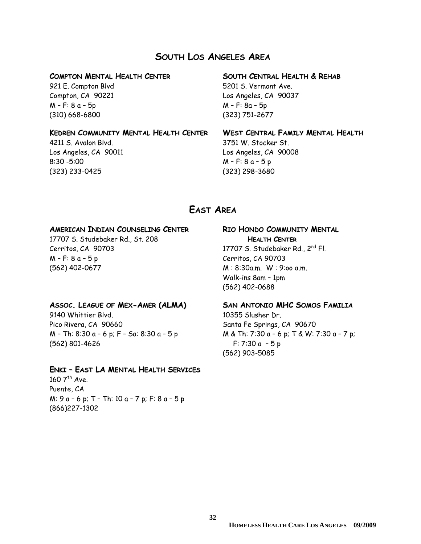#### **SOUTH LOS ANGELES AREA**

M – F: 8 a – 5p M – F: 8a – 5p (310) 668-6800 (323) 751-2677

#### **KEDREN COMMUNITY MENTAL HEALTH CENTER WEST CENTRAL FAMILY MENTAL HEALTH**

8:30 -5:00 M – F: 8 a – 5 p (323) 233-0425 (323) 298-3680

#### **COMPTON MENTAL HEALTH CENTER SOUTH CENTRAL HEALTH & REHAB**

921 E. Compton Blvd 5201 S. Vermont Ave. Compton, CA 90221 Los Angeles, CA 90037

4211 S. Avalon Blvd. 3751 W. Stocker St. Los Angeles, CA 90011 Los Angeles, CA 90008

#### **EAST AREA**

#### **AMERICAN INDIAN COUNSELING CENTER RIO HONDO COMMUNITY MENTAL**

17707 S. Studebaker Rd., St. 208 **HEALTH CENTER** Cerritos, CA 90703 17707 S. Studebaker Rd., 2nd Fl. M – F: 8 a – 5 p Cerritos, CA 90703 (562) 402-0677 M : 8:30a.m. W : 9:oo a.m.

#### **ASSOC. LEAGUE OF MEX-AMER (ALMA) SAN ANTONIO MHC SOMOS FAMILIA**

9140 Whittier Blvd. 10355 Slusher Dr. Pico Rivera, CA 90660 Santa Fe Springs, CA 90670 (562) 801-4626 F: 7:30 a – 5 p

#### **ENKI – EAST LA MENTAL HEALTH SERVICES**

160  $7<sup>th</sup>$  Ave. Puente, CA M: 9 a – 6 p; T – Th: 10 a – 7 p; F: 8 a – 5 p (866)227-1302

 Walk-ins 8am – 1pm (562) 402-0688

M – Th: 8:30 a – 6 p; F – Sa: 8:30 a – 5 p M & Th: 7:30 a – 6 p; T & W: 7:30 a – 7 p; (562) 903-5085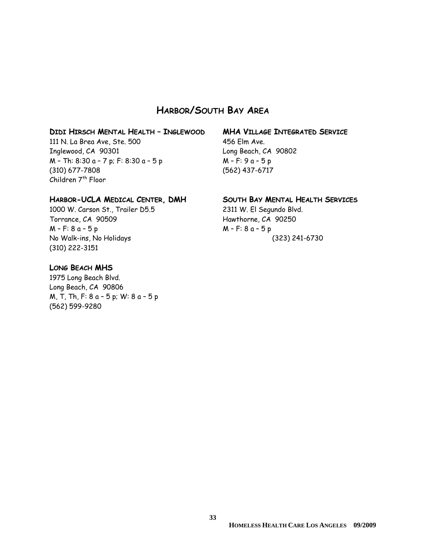#### **HARBOR/SOUTH BAY AREA**

#### **DIDI HIRSCH MENTAL HEALTH – INGLEWOOD MHA VILLAGE INTEGRATED SERVICE**

111 N. La Brea Ave, Ste. 500 456 Elm Ave. Inglewood, CA 90301 Long Beach, CA 90802  $M - Th: 8:30 a - 7 p; F: 8:30 a - 5 p$   $M - F: 9 a - 5 p$ (310) 677-7808 (562) 437-6717 Children 7<sup>th</sup> Floor

#### **HARBOR-UCLA MEDICAL CENTER, DMH SOUTH BAY MENTAL HEALTH SERVICES**

1000 W. Carson St., Trailer D5.5 2311 W. El Segundo Blvd. Torrance, CA 90509 Hawthorne, CA 90250 M – F: 8 a – 5 p M – F: 8 a – 5 p No Walk-ins, No Holidays (323) 241-6730 (310) 222-3151

#### **LONG BEACH MHS**

1975 Long Beach Blvd. Long Beach, CA 90806 M, T, Th, F: 8 a – 5 p; W: 8 a – 5 p (562) 599-9280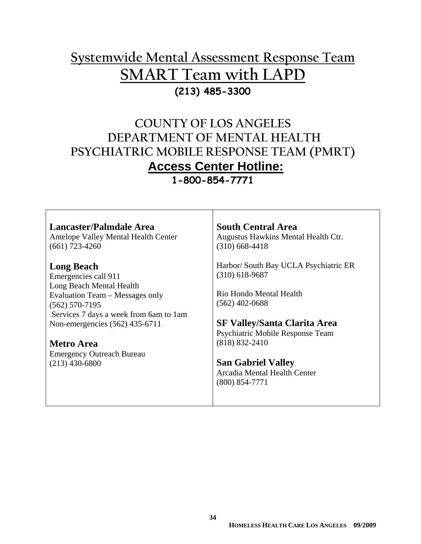## **Systemwide Mental Assessment Response Team SMART Team with LAPD (213) 485-3300**

## **COUNTY OF LOS ANGELES DEPARTMENT OF MENTAL HEALTH PSYCHIATRIC MOBILE RESPONSE TEAM (PMRT) Access Center Hotline:**

**1-800-854-7771** 

| Lancaster/Palmdale Area<br>Antelope Valley Mental Health Center<br>$(661)$ 723-4260 | <b>South Central Area</b><br>Augustus Hawkins Mental Health Ctr.<br>$(310)$ 668-4418 |
|-------------------------------------------------------------------------------------|--------------------------------------------------------------------------------------|
| <b>Long Beach</b><br>Emergencies call 911                                           | Harbor/ South Bay UCLA Psychiatric ER<br>$(310)$ 618-9687                            |
| Long Beach Mental Health                                                            |                                                                                      |
| Evaluation Team – Messages only                                                     | Rio Hondo Mental Health                                                              |
| $(562)$ 570-7195                                                                    | $(562)$ 402-0688                                                                     |
| Services 7 days a week from 6am to 1am<br>Non-emergencies (562) 435-6711            | <b>SF Valley/Santa Clarita Area</b>                                                  |
|                                                                                     | Psychiatric Mobile Response Team                                                     |
| <b>Metro Area</b>                                                                   | $(818) 832 - 2410$                                                                   |
| <b>Emergency Outreach Bureau</b>                                                    |                                                                                      |
| $(213)$ 430-6800                                                                    | <b>San Gabriel Valley</b>                                                            |
|                                                                                     | Arcadia Mental Health Center                                                         |
|                                                                                     | $(800)$ 854-7771                                                                     |
|                                                                                     |                                                                                      |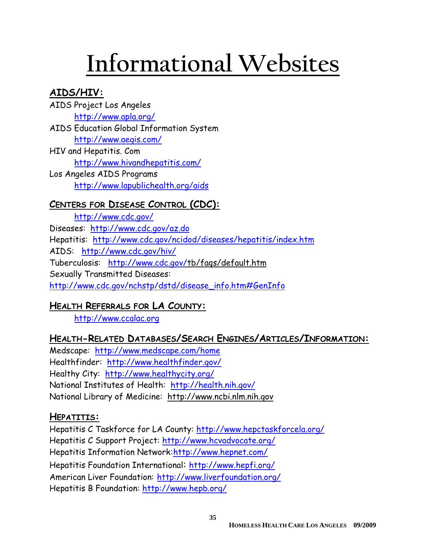# **Informational Websites**

## **AIDS/HIV:**

- AIDS Project Los Angeles http://www.apla.org/ AIDS Education Global Information System http://www.aegis.com/
- HIV and Hepatitis. Com http://www.hivandhepatitis.com/ Los Angeles AIDS Programs

http://www.lapublichealth.org/aids

## **CENTERS FOR DISEASE CONTROL (CDC):**

http://www.cdc.gov/ Diseases: http://www.cdc.gov/az.do Hepatitis: http://www.cdc.gov/ncidod/diseases/hepatitis/index.htm AIDS: http://www.cdc.gov/hiv/ Tuberculosis: http://www.cdc.gov/tb/faqs/default.htm Sexually Transmitted Diseases: http://www.cdc.gov/nchstp/dstd/disease\_info.htm#GenInfo

## **HEALTH REFERRALS FOR LA COUNTY:**

http://www.ccalac.org

## **HEALTH-RELATED DATABASES/SEARCH ENGINES/ARTICLES/INFORMATION:**

Medscape: http://www.medscape.com/home Healthfinder: http://www.healthfinder.gov/ Healthy City: http://www.healthycity.org/ National Institutes of Health: http://health.nih.gov/ National Library of Medicine: http://www.ncbi.nlm.nih.gov

## **HEPATITIS:**

Hepatitis C Taskforce for LA County: http://www.hepctaskforcela.org/ Hepatitis C Support Project: http://www.hcvadvocate.org/ Hepatitis Information Network: http://www.hepnet.com/ Hepatitis Foundation International: http://www.hepfi.org/ American Liver Foundation: http://www.liverfoundation.org/ Hepatitis B Foundation: http://www.hepb.org/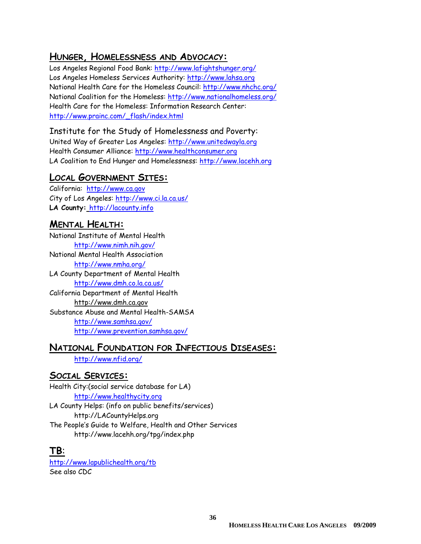#### **HUNGER, HOMELESSNESS AND ADVOCACY:**

Los Angeles Regional Food Bank: http://www.lafightshunger.org/ Los Angeles Homeless Services Authority: http://www.lahsa.org National Health Care for the Homeless Council: http://www.nhchc.org/ National Coalition for the Homeless: http://www.nationalhomeless.org/ Health Care for the Homeless: Information Research Center: http://www.prainc.com/\_flash/index.html

#### Institute for the Study of Homelessness and Poverty:

United Way of Greater Los Angeles: http://www.unitedwayla.org Health Consumer Alliance: http://www.healthconsumer.org LA Coalition to End Hunger and Homelessness: http://www.lacehh.org

#### **LOCAL GOVERNMENT SITES:**

California: http://www.ca.gov City of Los Angeles: http://www.ci.la.ca.us/ **LA County:** http://lacounty.info

#### **MENTAL HEALTH:**

National Institute of Mental Health http://www.nimh.nih.gov/ National Mental Health Association http://www.nmha.org/ LA County Department of Mental Health http://www.dmh.co.la.ca.us/ California Department of Mental Health http://www.dmh.ca.gov Substance Abuse and Mental Health-SAMSA http://www.samhsa.gov/ http://www.prevention.samhsa.gov/

#### **NATIONAL FOUNDATION FOR INFECTIOUS DISEASES:**

http://www.nfid.org/

#### **SOCIAL SERVICES:**

Health City:(social service database for LA) http://www.healthycity.org LA County Helps: (info on public benefits/services) http://LACountyHelps.org The People's Guide to Welfare, Health and Other Services http://www.lacehh.org/tpg/index.php

#### **TB**:

http://www.lapublichealth.org/tb See also CDC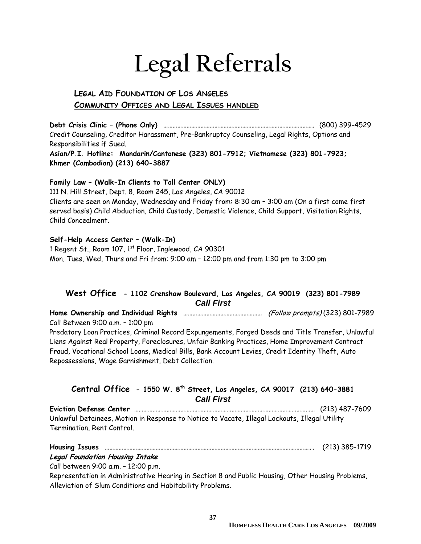# **Legal Referrals**

#### **LEGAL AID FOUNDATION OF LOS ANGELES COMMUNITY OFFICES AND LEGAL ISSUES HANDLED**

**Debt Crisis Clinic – (Phone Only) …………………………………………………………………………………….** (800) 399-4529 Credit Counseling, Creditor Harassment, Pre-Bankruptcy Counseling, Legal Rights, Options and Responsibilities if Sued.

**Asian/P.I. Hotline: Mandarin/Cantonese (323) 801-7912; Vietnamese (323) 801-7923; Khmer (Cambodian) (213) 640-3887** 

#### **Family Law – (Walk-In Clients to Toll Center ONLY)**

111 N. Hill Street, Dept. 8, Room 245, Los Angeles, CA 90012 Clients are seen on Monday, Wednesday and Friday from: 8:30 am – 3:00 am (On a first come first served basis) Child Abduction, Child Custody, Domestic Violence, Child Support, Visitation Rights, Child Concealment.

#### **Self-Help Access Center – (Walk-In)**

1 Regent St., Room 107, 1<sup>st</sup> Floor, Inglewood, CA 90301 Mon, Tues, Wed, Thurs and Fri from: 9:00 am – 12:00 pm and from 1:30 pm to 3:00 pm

#### **West Office - 1102 Crenshaw Boulevard, Los Angeles, CA 90019 (323) 801-7989**  *Call First*

**Home Ownership and Individual Rights ……………………………………………** (Follow prompts) (323) 801-7989 Call Between 9:00 a.m. – 1:00 pm Predatory Loan Practices, Criminal Record Expungements, Forged Deeds and Title Transfer, Unlawful Liens Against Real Property, Foreclosures, Unfair Banking Practices, Home Improvement Contract Fraud, Vocational School Loans, Medical Bills, Bank Account Levies, Credit Identity Theft, Auto Repossessions, Wage Garnishment, Debt Collection.

#### **Central Office - 1550 W. 8th Street, Los Angeles, CA 90017 (213) 640-3881** *Call First*

**Eviction Defense Center** ……………………………………………………………………………………………………… (213) 487-7609 Unlawful Detainees, Motion in Response to Notice to Vacate, Illegal Lockouts, Illegal Utility Termination, Rent Control.

| <b>Housing Issues</b>                  | (213) 385-1719 |
|----------------------------------------|----------------|
| <b>Legal Foundation Housing Intake</b> |                |

Call between 9:00 a.m. – 12:00 p.m.

Representation in Administrative Hearing in Section 8 and Public Housing, Other Housing Problems, Alleviation of Slum Conditions and Habitability Problems.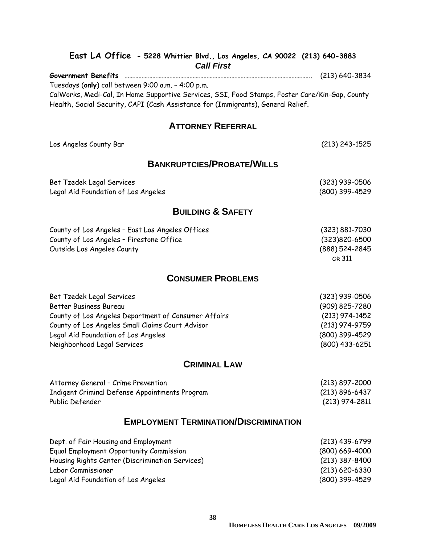| East LA Office - 5228 Whittier Blvd., Los Angeles, CA 90022 (213) 640-3883<br><b>Call First</b> |                          |  |
|-------------------------------------------------------------------------------------------------|--------------------------|--|
| <b>Government Benefits</b>                                                                      | $(213) 640 - 3834$       |  |
| Tuesdays (only) call between 9:00 a.m. - 4:00 p.m.                                              |                          |  |
| CalWorks, Medi-Cal, In Home Supportive Services, SSI, Food Stamps, Foster Care/Kin-Gap, County  |                          |  |
| Health, Social Security, CAPI (Cash Assistance for (Immigrants), General Relief.                |                          |  |
| <b>ATTORNEY REFERRAL</b>                                                                        |                          |  |
| Los Angeles County Bar                                                                          | $(213)$ 243-1525         |  |
| <b>BANKRUPTCIES/PROBATE/WILLS</b>                                                               |                          |  |
| Bet Tzedek Legal Services                                                                       | $(323)$ 939-0506         |  |
| Legal Aid Foundation of Los Angeles                                                             | (800) 399-4529           |  |
|                                                                                                 |                          |  |
| <b>BUILDING &amp; SAFETY</b>                                                                    |                          |  |
| County of Los Angeles - East Los Angeles Offices                                                | $(323) 881 - 7030$       |  |
| County of Los Angeles - Firestone Office                                                        | $(323)820 - 6500$        |  |
| Outside Los Angeles County                                                                      | (888) 524-2845<br>OR 311 |  |
| <b>CONSUMER PROBLEMS</b>                                                                        |                          |  |
| Bet Tzedek Legal Services                                                                       | $(323)$ 939-0506         |  |
| <b>Better Business Bureau</b>                                                                   | (909) 825-7280           |  |
| County of Los Angeles Department of Consumer Affairs                                            | $(213)$ 974-1452         |  |
| County of Los Angeles Small Claims Court Advisor                                                | $(213)$ 974-9759         |  |
| Legal Aid Foundation of Los Angeles                                                             | (800) 399-4529           |  |
| Neighborhood Legal Services                                                                     | (800) 433-6251           |  |
| <b>CRIMINAL LAW</b>                                                                             |                          |  |
| Attorney General - Crime Prevention                                                             | (213) 897-2000           |  |
| Indigent Criminal Defense Appointments Program                                                  | $(213) 896 - 6437$       |  |
| Public Defender                                                                                 | (213) 974-2811           |  |
| <b>EMPLOYMENT TERMINATION/DISCRIMINATION</b>                                                    |                          |  |

| Dept. of Fair Housing and Employment            | $(213)$ 439-6799   |
|-------------------------------------------------|--------------------|
| Equal Employment Opportunity Commission         | $(800)$ 669-4000   |
| Housing Rights Center (Discrimination Services) | $(213)$ 387-8400   |
| Labor Commissioner                              | $(213) 620 - 6330$ |
| Legal Aid Foundation of Los Angeles             | (800) 399-4529     |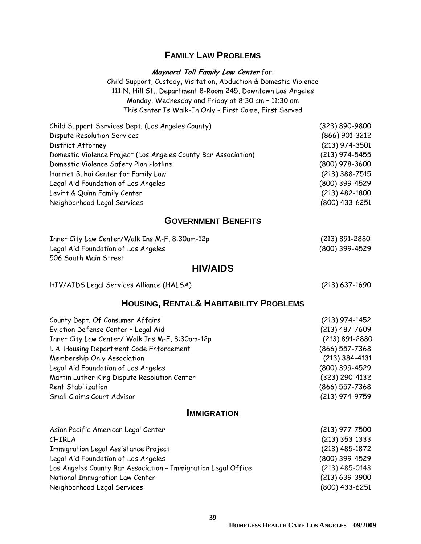#### **FAMILY LAW PROBLEMS**

**Maynard Toll Family Law Center** for:

Child Support, Custody, Visitation, Abduction & Domestic Violence 111 N. Hill St., Department 8-Room 245, Downtown Los Angeles Monday, Wednesday and Friday at 8:30 am – 11:30 am This Center Is Walk-In Only – First Come, First Served

| $(323) 890 - 9800$ |
|--------------------|
| $(866)$ 901-3212   |
| $(213)$ 974-3501   |
| $(213)$ 974-5455   |
| $(800)$ 978-3600   |
| $(213)$ 388-7515   |
| (800) 399-4529     |
| $(213)$ 482-1800   |
| (800) 433-6251     |
|                    |

#### **GOVERNMENT BENEFITS**

| Inner City Law Center/Walk Ins M-F, 8:30am-12p | $(213) 891 - 2880$ |
|------------------------------------------------|--------------------|
| Legal Aid Foundation of Los Angeles            | (800) 399-4529     |
| 506 South Main Street                          |                    |

#### **HIV/AIDS**

HIV/AIDS Legal Services Alliance (HALSA) (213) 637-1690

#### **HOUSING, RENTAL& HABITABILITY PROBLEMS**

| County Dept. Of Consumer Affairs                | $(213)$ 974-1452   |
|-------------------------------------------------|--------------------|
| Eviction Defense Center - Legal Aid             | $(213)$ 487-7609   |
| Inner City Law Center/ Walk Ins M-F, 8:30am-12p | $(213) 891 - 2880$ |
| L.A. Housing Department Code Enforcement        | $(866)$ 557-7368   |
| Membership Only Association                     | $(213)$ 384-4131   |
| Legal Aid Foundation of Los Angeles             | (800) 399-4529     |
| Martin Luther King Dispute Resolution Center    | (323) 290-4132     |
| Rent Stabilization                              | $(866)$ 557-7368   |
| Small Claims Court Advisor                      | (213) 974-9759     |

#### **IMMIGRATION**

| Asian Pacific American Legal Center                           | $(213)$ 977-7500 |
|---------------------------------------------------------------|------------------|
| <b>CHIRLA</b>                                                 | $(213)$ 353-1333 |
| <b>Immigration Legal Assistance Project</b>                   | $(213)$ 485-1872 |
| Legal Aid Foundation of Los Angeles                           | (800) 399-4529   |
| Los Angeles County Bar Association - Immigration Legal Office | $(213)$ 485-0143 |
| National Immigration Law Center                               | $(213)$ 639-3900 |
| Neighborhood Legal Services                                   | (800) 433-6251   |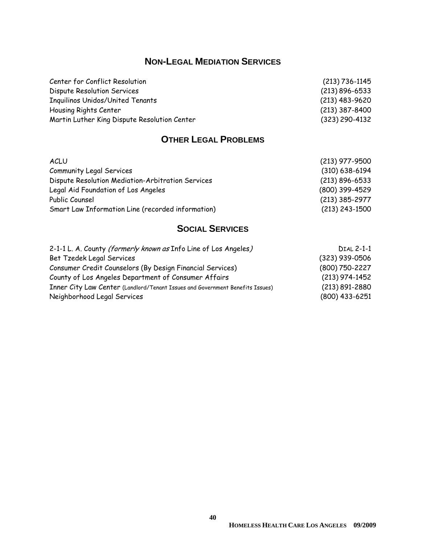## **NON-LEGAL MEDIATION SERVICES**

| Center for Conflict Resolution               | $(213) 736 - 1145$ |
|----------------------------------------------|--------------------|
| Dispute Resolution Services                  | $(213) 896 - 6533$ |
| <b>Inquilinos Unidos/United Tenants</b>      | $(213)$ 483-9620   |
| Housing Rights Center                        | $(213)$ 387-8400   |
| Martin Luther King Dispute Resolution Center | $(323)$ 290-4132   |

## **OTHER LEGAL PROBLEMS**

| <b>ACLU</b>                                       | $(213)$ 977-9500   |
|---------------------------------------------------|--------------------|
| <b>Community Legal Services</b>                   | $(310)$ 638-6194   |
| Dispute Resolution Mediation-Arbitration Services | $(213) 896 - 6533$ |
| Legal Aid Foundation of Los Angeles               | (800) 399-4529     |
| Public Counsel                                    | $(213)$ 385-2977   |
| Smart Law Information Line (recorded information) | $(213)$ 243-1500   |

## **SOCIAL SERVICES**

| 2-1-1 L. A. County (formerly known as Info Line of Los Angeles)               | <b>DIAL 2-1-1</b>  |
|-------------------------------------------------------------------------------|--------------------|
| Bet Tzedek Legal Services                                                     | $(323)$ 939-0506   |
| Consumer Credit Counselors (By Design Financial Services)                     | (800) 750-2227     |
| County of Los Angeles Department of Consumer Affairs                          | $(213)$ 974-1452   |
| Inner City Law Center (Landlord/Tenant Issues and Government Benefits Issues) | $(213) 891 - 2880$ |
| Neighborhood Legal Services                                                   | $(800)$ 433-6251   |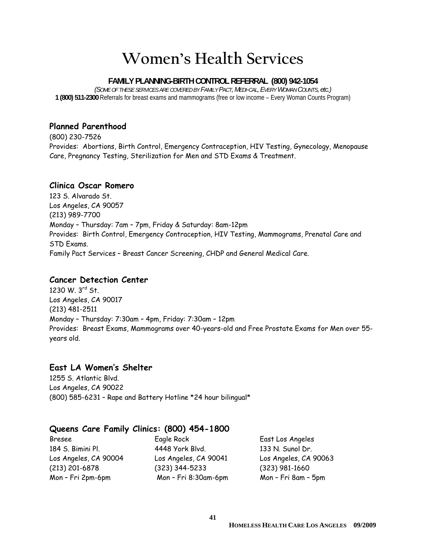# **Women's Health Services**

#### **FAMILY PLANNING-BIRTH CONTROL REFERRAL (800) 942-1054**

*(SOME OF THESE SERVICES ARE COVERED BY FAMILY PACT, MEDI-CAL, EVERY WOMAN COUNTS, etc.)*   **1 (800) 511-2300** Referrals for breast exams and mammograms (free or low income – Every Woman Counts Program)

#### **Planned Parenthood**

(800) 230-7526 Provides: Abortions, Birth Control, Emergency Contraception, HIV Testing, Gynecology, Menopause Care, Pregnancy Testing, Sterilization for Men and STD Exams & Treatment.

#### **Clinica Oscar Romero**

123 S. Alvarado St. Los Angeles, CA 90057 (213) 989-7700 Monday – Thursday: 7am – 7pm, Friday & Saturday: 8am-12pm Provides: Birth Control, Emergency Contraception, HIV Testing, Mammograms, Prenatal Care and STD Exams. Family Pact Services – Breast Cancer Screening, CHDP and General Medical Care.

#### **Cancer Detection Center**

1230 W.  $3^{rd}$  St. Los Angeles, CA 90017 (213) 481-2511 Monday – Thursday: 7:30am – 4pm, Friday: 7:30am – 12pm Provides: Breast Exams, Mammograms over 40-years-old and Free Prostate Exams for Men over 55 years old.

#### **East LA Women's Shelter**

1255 S. Atlantic Blvd. Los Angeles, CA 90022 (800) 585-6231 – Rape and Battery Hotline \*24 hour bilingual\*

#### **Queens Care Family Clinics: (800) 454-1800**

Bresee Eagle Rock East Los Angeles

184 S. Bimini Pl. 4448 York Blvd. 133 N. Sunol Dr. Los Angeles, CA 90004 Los Angeles, CA 90041 Los Angeles, CA 90063 (213) 201-6878 (323) 344-5233 (323) 981-1660 Mon – Fri 2pm-6pm Mon – Fri 8:30am-6pm Mon – Fri 8am – 5pm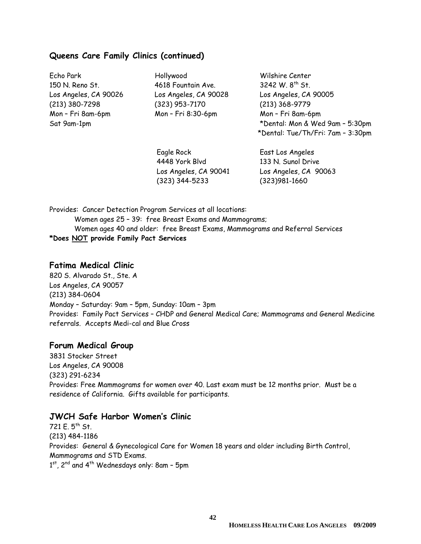#### **Queens Care Family Clinics (continued)**

Echo Park Hollywood Wilshire Center

150 N. Reno St. 4618 Fountain Ave. 3242 W. 8th St. (213) 380-7298 (323) 953-7170 (213) 368-9779 Mon – Fri 8am-6pm Mon – Fri 8:30-6pm Mon – Fri 8am-6pm

Los Angeles, CA 90026 Los Angeles, CA 90028 Los Angeles, CA 90005 Sat 9am-1pm \*Dental: Mon & Wed 9am – 5:30pm \*Dental: Tue/Th/Fri: 7am – 3:30pm

> Eagle Rock East Los Angeles 4448 York Blvd 133 N. Sunol Drive (323) 344-5233 (323)981-1660

Los Angeles, CA 90041 Los Angeles, CA 90063

Provides: Cancer Detection Program Services at all locations: Women ages 25 – 39: free Breast Exams and Mammograms; Women ages 40 and older: free Breast Exams, Mammograms and Referral Services **\*Does NOT provide Family Pact Services** 

#### **Fatima Medical Clinic**

820 S. Alvarado St., Ste. A Los Angeles, CA 90057 (213) 384-0604 Monday – Saturday: 9am – 5pm, Sunday: 10am – 3pm Provides: Family Pact Services – CHDP and General Medical Care; Mammograms and General Medicine referrals. Accepts Medi-cal and Blue Cross

#### **Forum Medical Group**

3831 Stocker Street Los Angeles, CA 90008 (323) 291-6234 Provides: Free Mammograms for women over 40. Last exam must be 12 months prior. Must be a residence of California. Gifts available for participants.

#### **JWCH Safe Harbor Women's Clinic**

 $721 E. 5<sup>th</sup> St.$ (213) 484-1186 Provides: General & Gynecological Care for Women 18 years and older including Birth Control, Mammograms and STD Exams. 1st, 2<sup>nd</sup> and 4<sup>th</sup> Wednesdays only: 8am - 5pm